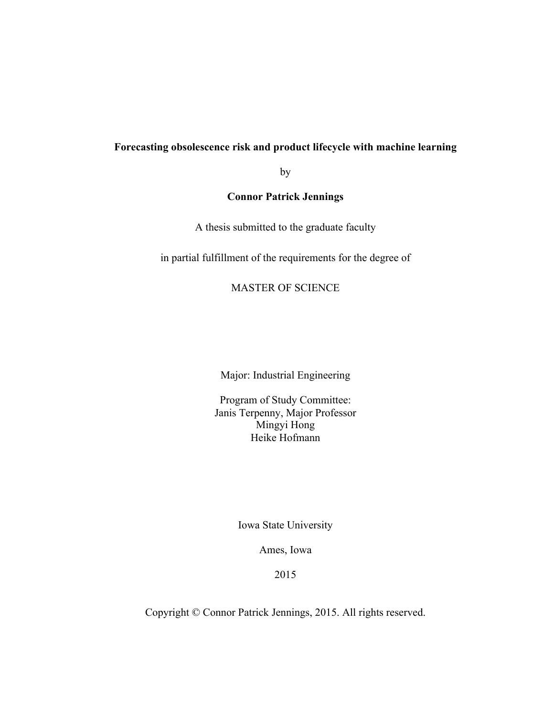## **Forecasting obsolescence risk and product lifecycle with machine learning**

by

# **Connor Patrick Jennings**

A thesis submitted to the graduate faculty

in partial fulfillment of the requirements for the degree of

## MASTER OF SCIENCE

Major: Industrial Engineering

Program of Study Committee: Janis Terpenny, Major Professor Mingyi Hong Heike Hofmann

Iowa State University

Ames, Iowa

2015

Copyright © Connor Patrick Jennings, 2015. All rights reserved.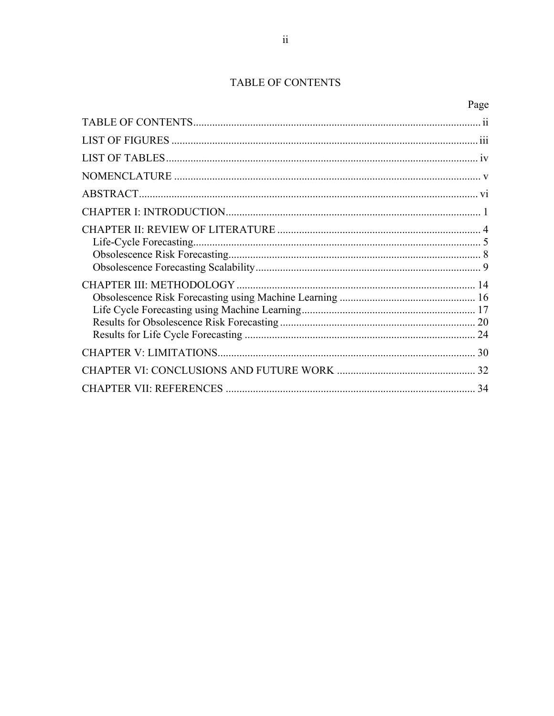# TABLE OF CONTENTS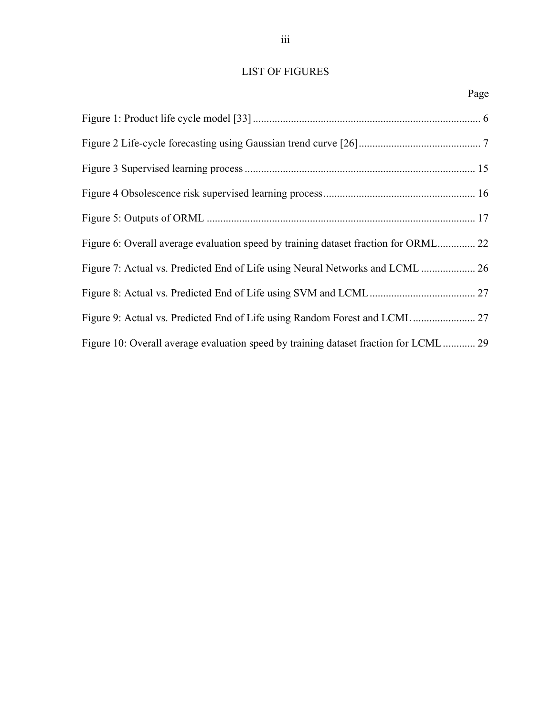# LIST OF FIGURES

| Figure 6: Overall average evaluation speed by training dataset fraction for ORML 22  |  |
|--------------------------------------------------------------------------------------|--|
| Figure 7: Actual vs. Predicted End of Life using Neural Networks and LCML  26        |  |
|                                                                                      |  |
|                                                                                      |  |
| Figure 10: Overall average evaluation speed by training dataset fraction for LCML 29 |  |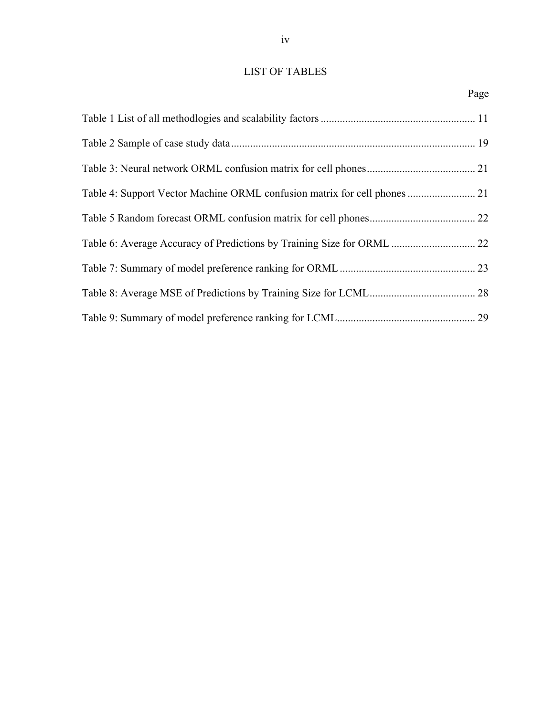# LIST OF TABLES

| Table 4: Support Vector Machine ORML confusion matrix for cell phones  21 |  |
|---------------------------------------------------------------------------|--|
|                                                                           |  |
| Table 6: Average Accuracy of Predictions by Training Size for ORML  22    |  |
|                                                                           |  |
|                                                                           |  |
|                                                                           |  |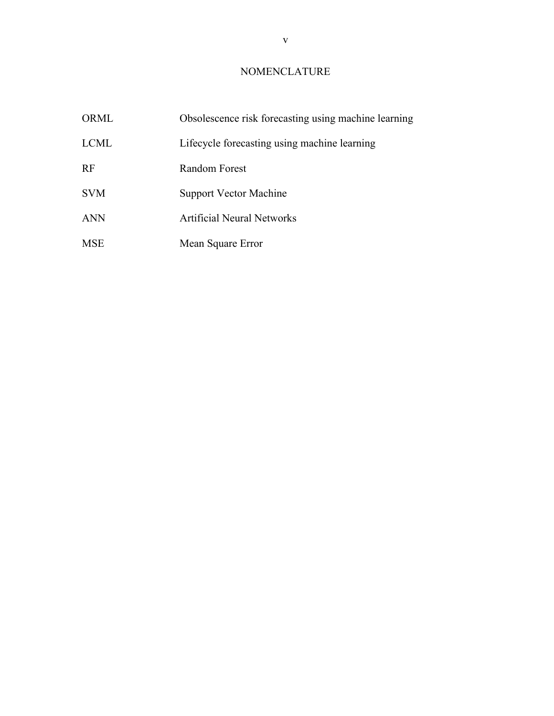# NOMENCLATURE

| ORML        | Obsolescence risk forecasting using machine learning |
|-------------|------------------------------------------------------|
| <b>LCML</b> | Lifecycle forecasting using machine learning         |
| <b>RF</b>   | Random Forest                                        |
| <b>SVM</b>  | Support Vector Machine                               |
| <b>ANN</b>  | <b>Artificial Neural Networks</b>                    |
| <b>MSE</b>  | Mean Square Error                                    |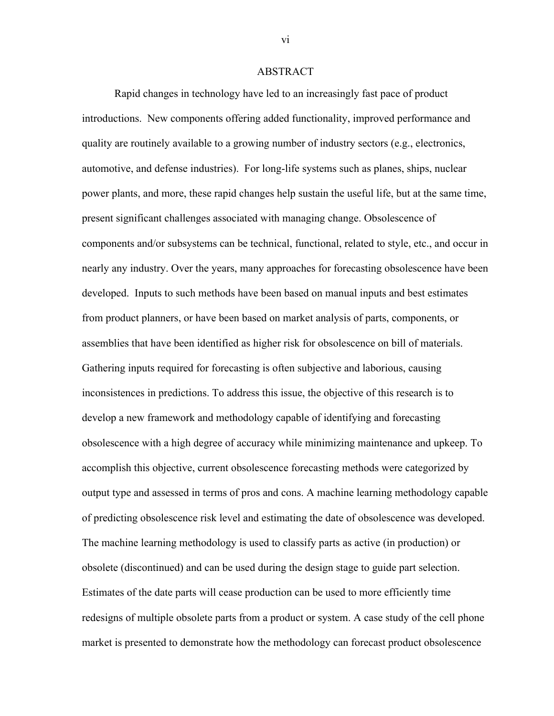## **ABSTRACT**

Rapid changes in technology have led to an increasingly fast pace of product introductions. New components offering added functionality, improved performance and quality are routinely available to a growing number of industry sectors (e.g., electronics, automotive, and defense industries). For long-life systems such as planes, ships, nuclear power plants, and more, these rapid changes help sustain the useful life, but at the same time, present significant challenges associated with managing change. Obsolescence of components and/or subsystems can be technical, functional, related to style, etc., and occur in nearly any industry. Over the years, many approaches for forecasting obsolescence have been developed. Inputs to such methods have been based on manual inputs and best estimates from product planners, or have been based on market analysis of parts, components, or assemblies that have been identified as higher risk for obsolescence on bill of materials. Gathering inputs required for forecasting is often subjective and laborious, causing inconsistences in predictions. To address this issue, the objective of this research is to develop a new framework and methodology capable of identifying and forecasting obsolescence with a high degree of accuracy while minimizing maintenance and upkeep. To accomplish this objective, current obsolescence forecasting methods were categorized by output type and assessed in terms of pros and cons. A machine learning methodology capable of predicting obsolescence risk level and estimating the date of obsolescence was developed. The machine learning methodology is used to classify parts as active (in production) or obsolete (discontinued) and can be used during the design stage to guide part selection. Estimates of the date parts will cease production can be used to more efficiently time redesigns of multiple obsolete parts from a product or system. A case study of the cell phone market is presented to demonstrate how the methodology can forecast product obsolescence

vi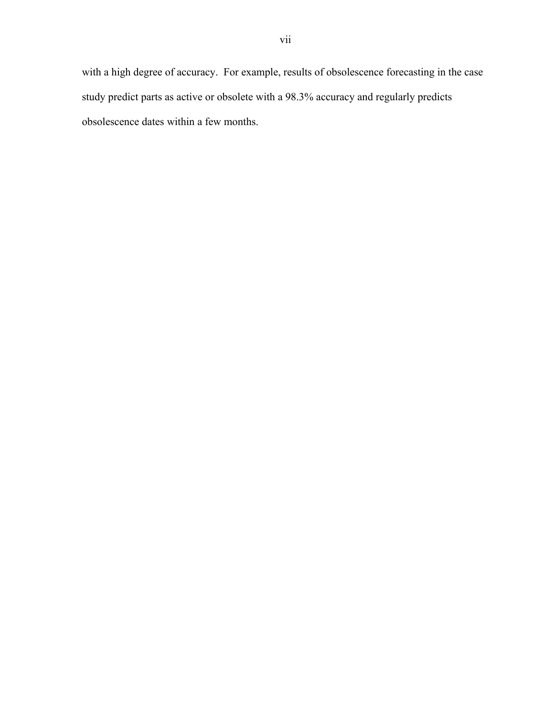with a high degree of accuracy. For example, results of obsolescence forecasting in the case study predict parts as active or obsolete with a 98.3% accuracy and regularly predicts obsolescence dates within a few months.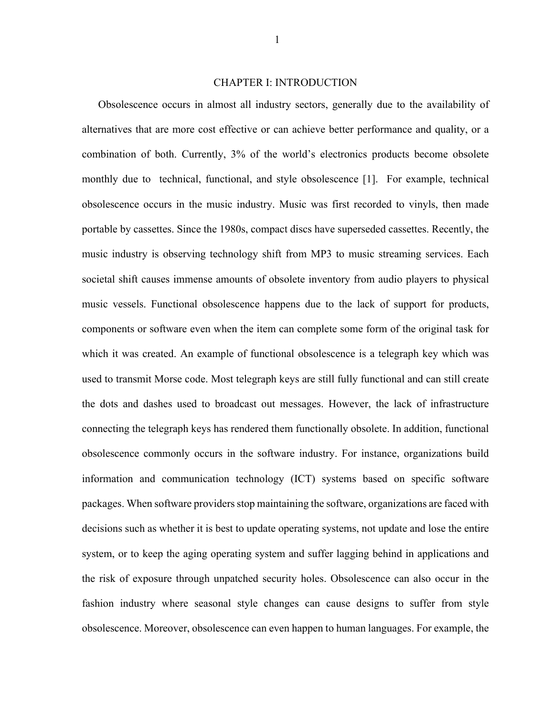## CHAPTER I: INTRODUCTION

Obsolescence occurs in almost all industry sectors, generally due to the availability of alternatives that are more cost effective or can achieve better performance and quality, or a combination of both. Currently, 3% of the world's electronics products become obsolete monthly due to technical, functional, and style obsolescence [1]. For example, technical obsolescence occurs in the music industry. Music was first recorded to vinyls, then made portable by cassettes. Since the 1980s, compact discs have superseded cassettes. Recently, the music industry is observing technology shift from MP3 to music streaming services. Each societal shift causes immense amounts of obsolete inventory from audio players to physical music vessels. Functional obsolescence happens due to the lack of support for products, components or software even when the item can complete some form of the original task for which it was created. An example of functional obsolescence is a telegraph key which was used to transmit Morse code. Most telegraph keys are still fully functional and can still create the dots and dashes used to broadcast out messages. However, the lack of infrastructure connecting the telegraph keys has rendered them functionally obsolete. In addition, functional obsolescence commonly occurs in the software industry. For instance, organizations build information and communication technology (ICT) systems based on specific software packages. When software providers stop maintaining the software, organizations are faced with decisions such as whether it is best to update operating systems, not update and lose the entire system, or to keep the aging operating system and suffer lagging behind in applications and the risk of exposure through unpatched security holes. Obsolescence can also occur in the fashion industry where seasonal style changes can cause designs to suffer from style obsolescence. Moreover, obsolescence can even happen to human languages. For example, the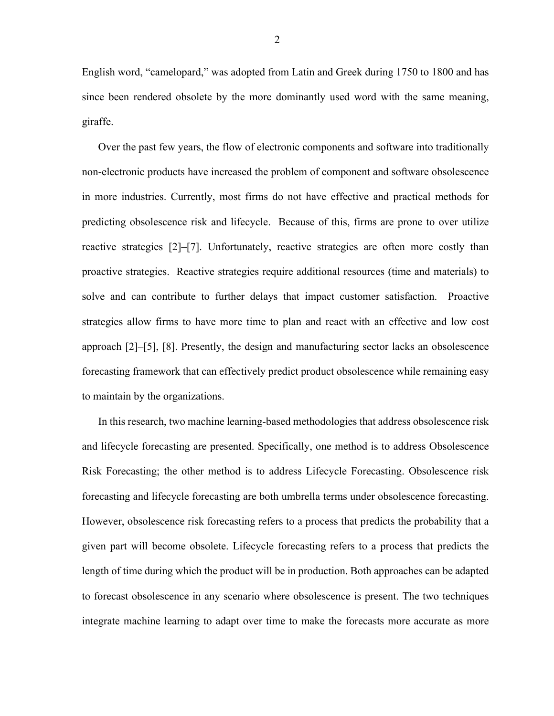English word, "camelopard," was adopted from Latin and Greek during 1750 to 1800 and has since been rendered obsolete by the more dominantly used word with the same meaning, giraffe.

Over the past few years, the flow of electronic components and software into traditionally non-electronic products have increased the problem of component and software obsolescence in more industries. Currently, most firms do not have effective and practical methods for predicting obsolescence risk and lifecycle. Because of this, firms are prone to over utilize reactive strategies [2]–[7]. Unfortunately, reactive strategies are often more costly than proactive strategies. Reactive strategies require additional resources (time and materials) to solve and can contribute to further delays that impact customer satisfaction. Proactive strategies allow firms to have more time to plan and react with an effective and low cost approach [2]–[5], [8]. Presently, the design and manufacturing sector lacks an obsolescence forecasting framework that can effectively predict product obsolescence while remaining easy to maintain by the organizations.

In this research, two machine learning-based methodologies that address obsolescence risk and lifecycle forecasting are presented. Specifically, one method is to address Obsolescence Risk Forecasting; the other method is to address Lifecycle Forecasting. Obsolescence risk forecasting and lifecycle forecasting are both umbrella terms under obsolescence forecasting. However, obsolescence risk forecasting refers to a process that predicts the probability that a given part will become obsolete. Lifecycle forecasting refers to a process that predicts the length of time during which the product will be in production. Both approaches can be adapted to forecast obsolescence in any scenario where obsolescence is present. The two techniques integrate machine learning to adapt over time to make the forecasts more accurate as more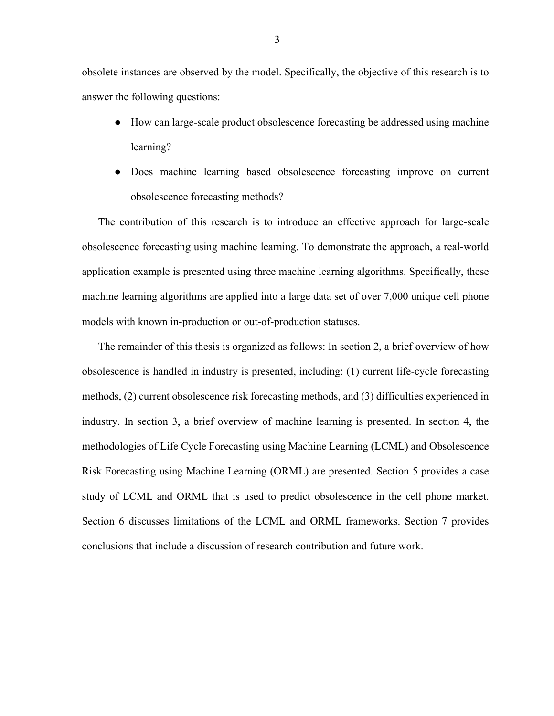obsolete instances are observed by the model. Specifically, the objective of this research is to answer the following questions:

- How can large-scale product obsolescence forecasting be addressed using machine learning?
- Does machine learning based obsolescence forecasting improve on current obsolescence forecasting methods?

The contribution of this research is to introduce an effective approach for large-scale obsolescence forecasting using machine learning. To demonstrate the approach, a real-world application example is presented using three machine learning algorithms. Specifically, these machine learning algorithms are applied into a large data set of over 7,000 unique cell phone models with known in-production or out-of-production statuses.

The remainder of this thesis is organized as follows: In section 2, a brief overview of how obsolescence is handled in industry is presented, including: (1) current life-cycle forecasting methods, (2) current obsolescence risk forecasting methods, and (3) difficulties experienced in industry. In section 3, a brief overview of machine learning is presented. In section 4, the methodologies of Life Cycle Forecasting using Machine Learning (LCML) and Obsolescence Risk Forecasting using Machine Learning (ORML) are presented. Section 5 provides a case study of LCML and ORML that is used to predict obsolescence in the cell phone market. Section 6 discusses limitations of the LCML and ORML frameworks. Section 7 provides conclusions that include a discussion of research contribution and future work.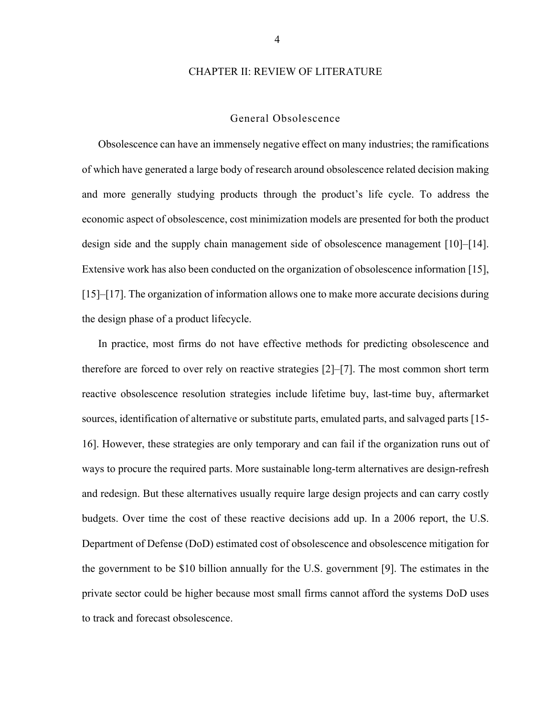## CHAPTER II: REVIEW OF LITERATURE

#### General Obsolescence

Obsolescence can have an immensely negative effect on many industries; the ramifications of which have generated a large body of research around obsolescence related decision making and more generally studying products through the product's life cycle. To address the economic aspect of obsolescence, cost minimization models are presented for both the product design side and the supply chain management side of obsolescence management [10]–[14]. Extensive work has also been conducted on the organization of obsolescence information [15], [15]–[17]. The organization of information allows one to make more accurate decisions during the design phase of a product lifecycle.

In practice, most firms do not have effective methods for predicting obsolescence and therefore are forced to over rely on reactive strategies [2]–[7]. The most common short term reactive obsolescence resolution strategies include lifetime buy, last-time buy, aftermarket sources, identification of alternative or substitute parts, emulated parts, and salvaged parts [15- 16]. However, these strategies are only temporary and can fail if the organization runs out of ways to procure the required parts. More sustainable long-term alternatives are design-refresh and redesign. But these alternatives usually require large design projects and can carry costly budgets. Over time the cost of these reactive decisions add up. In a 2006 report, the U.S. Department of Defense (DoD) estimated cost of obsolescence and obsolescence mitigation for the government to be \$10 billion annually for the U.S. government [9]. The estimates in the private sector could be higher because most small firms cannot afford the systems DoD uses to track and forecast obsolescence.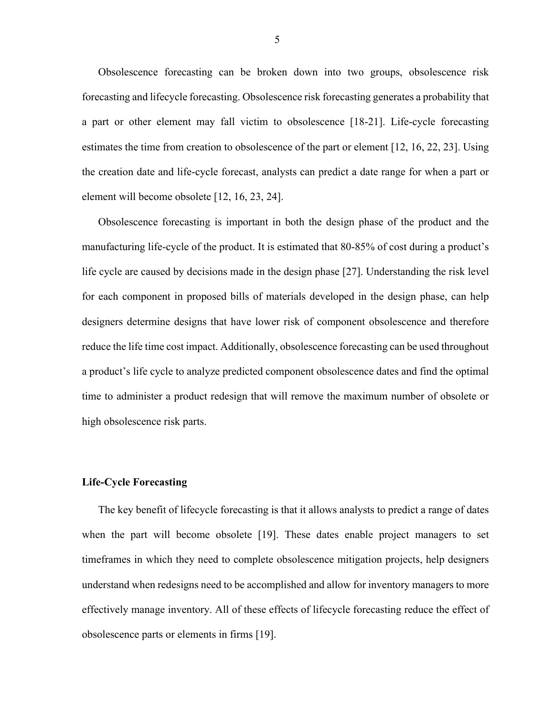Obsolescence forecasting can be broken down into two groups, obsolescence risk forecasting and lifecycle forecasting. Obsolescence risk forecasting generates a probability that a part or other element may fall victim to obsolescence [18-21]. Life-cycle forecasting estimates the time from creation to obsolescence of the part or element [12, 16, 22, 23]. Using the creation date and life-cycle forecast, analysts can predict a date range for when a part or element will become obsolete [12, 16, 23, 24].

Obsolescence forecasting is important in both the design phase of the product and the manufacturing life-cycle of the product. It is estimated that 80-85% of cost during a product's life cycle are caused by decisions made in the design phase [27]. Understanding the risk level for each component in proposed bills of materials developed in the design phase, can help designers determine designs that have lower risk of component obsolescence and therefore reduce the life time cost impact. Additionally, obsolescence forecasting can be used throughout a product's life cycle to analyze predicted component obsolescence dates and find the optimal time to administer a product redesign that will remove the maximum number of obsolete or high obsolescence risk parts.

## **Life-Cycle Forecasting**

The key benefit of lifecycle forecasting is that it allows analysts to predict a range of dates when the part will become obsolete [19]. These dates enable project managers to set timeframes in which they need to complete obsolescence mitigation projects, help designers understand when redesigns need to be accomplished and allow for inventory managers to more effectively manage inventory. All of these effects of lifecycle forecasting reduce the effect of obsolescence parts or elements in firms [19].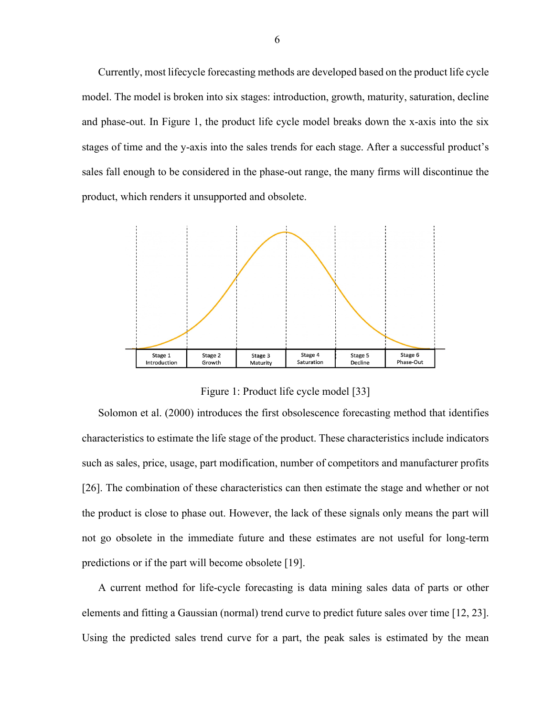Currently, most lifecycle forecasting methods are developed based on the product life cycle model. The model is broken into six stages: introduction, growth, maturity, saturation, decline and phase-out. In Figure 1, the product life cycle model breaks down the x-axis into the six stages of time and the y-axis into the sales trends for each stage. After a successful product's sales fall enough to be considered in the phase-out range, the many firms will discontinue the product, which renders it unsupported and obsolete.



Figure 1: Product life cycle model [33]

Solomon et al. (2000) introduces the first obsolescence forecasting method that identifies characteristics to estimate the life stage of the product. These characteristics include indicators such as sales, price, usage, part modification, number of competitors and manufacturer profits [26]. The combination of these characteristics can then estimate the stage and whether or not the product is close to phase out. However, the lack of these signals only means the part will not go obsolete in the immediate future and these estimates are not useful for long-term predictions or if the part will become obsolete [19].

A current method for life-cycle forecasting is data mining sales data of parts or other elements and fitting a Gaussian (normal) trend curve to predict future sales over time [12, 23]. Using the predicted sales trend curve for a part, the peak sales is estimated by the mean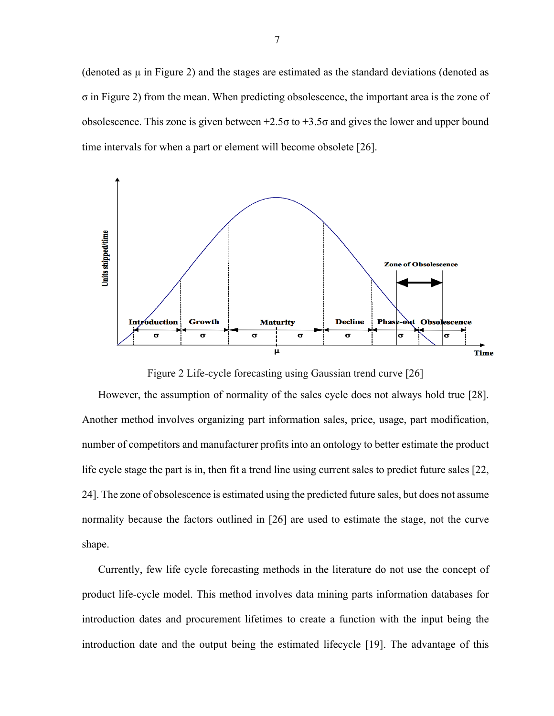(denoted as  $\mu$  in Figure 2) and the stages are estimated as the standard deviations (denoted as σ in Figure 2) from the mean. When predicting obsolescence, the important area is the zone of obsolescence. This zone is given between +2.5σ to +3.5σ and gives the lower and upper bound time intervals for when a part or element will become obsolete [26].



Figure 2 Life-cycle forecasting using Gaussian trend curve [26]

However, the assumption of normality of the sales cycle does not always hold true [28]. Another method involves organizing part information sales, price, usage, part modification, number of competitors and manufacturer profits into an ontology to better estimate the product life cycle stage the part is in, then fit a trend line using current sales to predict future sales [22, 24]. The zone of obsolescence is estimated using the predicted future sales, but does not assume normality because the factors outlined in [26] are used to estimate the stage, not the curve shape.

Currently, few life cycle forecasting methods in the literature do not use the concept of product life-cycle model. This method involves data mining parts information databases for introduction dates and procurement lifetimes to create a function with the input being the introduction date and the output being the estimated lifecycle [19]. The advantage of this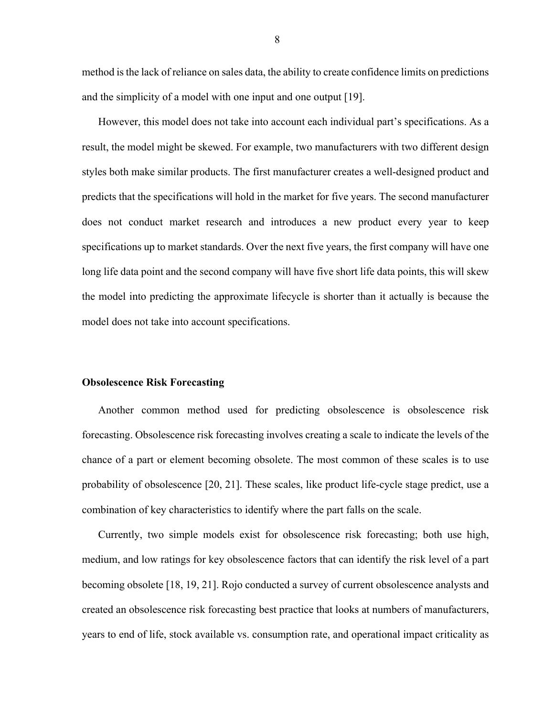method is the lack of reliance on sales data, the ability to create confidence limits on predictions and the simplicity of a model with one input and one output [19].

However, this model does not take into account each individual part's specifications. As a result, the model might be skewed. For example, two manufacturers with two different design styles both make similar products. The first manufacturer creates a well-designed product and predicts that the specifications will hold in the market for five years. The second manufacturer does not conduct market research and introduces a new product every year to keep specifications up to market standards. Over the next five years, the first company will have one long life data point and the second company will have five short life data points, this will skew the model into predicting the approximate lifecycle is shorter than it actually is because the model does not take into account specifications.

## **Obsolescence Risk Forecasting**

Another common method used for predicting obsolescence is obsolescence risk forecasting. Obsolescence risk forecasting involves creating a scale to indicate the levels of the chance of a part or element becoming obsolete. The most common of these scales is to use probability of obsolescence [20, 21]. These scales, like product life-cycle stage predict, use a combination of key characteristics to identify where the part falls on the scale.

Currently, two simple models exist for obsolescence risk forecasting; both use high, medium, and low ratings for key obsolescence factors that can identify the risk level of a part becoming obsolete [18, 19, 21]. Rojo conducted a survey of current obsolescence analysts and created an obsolescence risk forecasting best practice that looks at numbers of manufacturers, years to end of life, stock available vs. consumption rate, and operational impact criticality as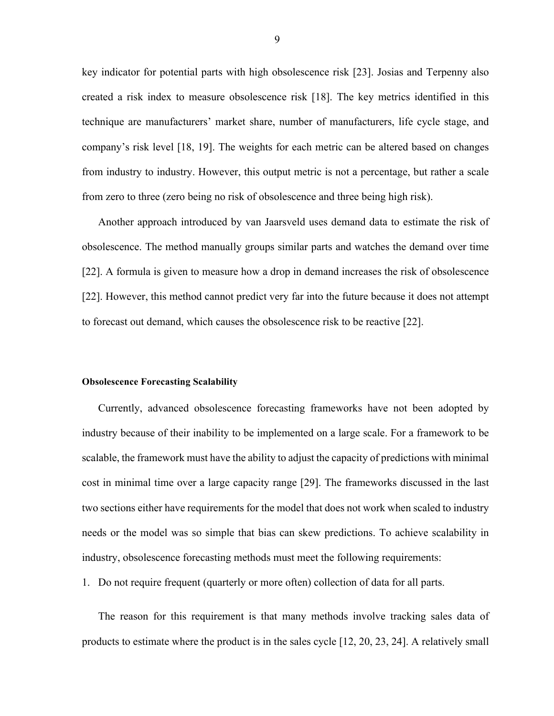key indicator for potential parts with high obsolescence risk [23]. Josias and Terpenny also created a risk index to measure obsolescence risk [18]. The key metrics identified in this technique are manufacturers' market share, number of manufacturers, life cycle stage, and company's risk level [18, 19]. The weights for each metric can be altered based on changes from industry to industry. However, this output metric is not a percentage, but rather a scale from zero to three (zero being no risk of obsolescence and three being high risk).

Another approach introduced by van Jaarsveld uses demand data to estimate the risk of obsolescence. The method manually groups similar parts and watches the demand over time [22]. A formula is given to measure how a drop in demand increases the risk of obsolescence [22]. However, this method cannot predict very far into the future because it does not attempt to forecast out demand, which causes the obsolescence risk to be reactive [22].

#### **Obsolescence Forecasting Scalability**

Currently, advanced obsolescence forecasting frameworks have not been adopted by industry because of their inability to be implemented on a large scale. For a framework to be scalable, the framework must have the ability to adjust the capacity of predictions with minimal cost in minimal time over a large capacity range [29]. The frameworks discussed in the last two sections either have requirements for the model that does not work when scaled to industry needs or the model was so simple that bias can skew predictions. To achieve scalability in industry, obsolescence forecasting methods must meet the following requirements:

1. Do not require frequent (quarterly or more often) collection of data for all parts.

The reason for this requirement is that many methods involve tracking sales data of products to estimate where the product is in the sales cycle [12, 20, 23, 24]. A relatively small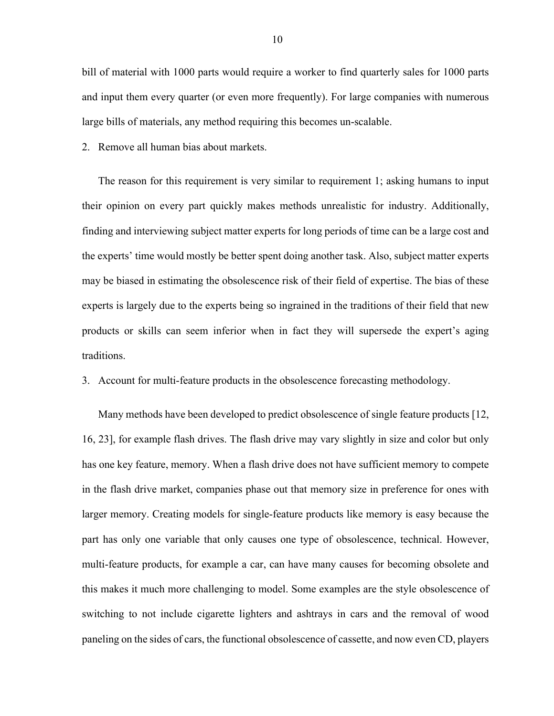bill of material with 1000 parts would require a worker to find quarterly sales for 1000 parts and input them every quarter (or even more frequently). For large companies with numerous large bills of materials, any method requiring this becomes un-scalable.

2. Remove all human bias about markets.

The reason for this requirement is very similar to requirement 1; asking humans to input their opinion on every part quickly makes methods unrealistic for industry. Additionally, finding and interviewing subject matter experts for long periods of time can be a large cost and the experts' time would mostly be better spent doing another task. Also, subject matter experts may be biased in estimating the obsolescence risk of their field of expertise. The bias of these experts is largely due to the experts being so ingrained in the traditions of their field that new products or skills can seem inferior when in fact they will supersede the expert's aging traditions.

3. Account for multi-feature products in the obsolescence forecasting methodology.

Many methods have been developed to predict obsolescence of single feature products [12, 16, 23], for example flash drives. The flash drive may vary slightly in size and color but only has one key feature, memory. When a flash drive does not have sufficient memory to compete in the flash drive market, companies phase out that memory size in preference for ones with larger memory. Creating models for single-feature products like memory is easy because the part has only one variable that only causes one type of obsolescence, technical. However, multi-feature products, for example a car, can have many causes for becoming obsolete and this makes it much more challenging to model. Some examples are the style obsolescence of switching to not include cigarette lighters and ashtrays in cars and the removal of wood paneling on the sides of cars, the functional obsolescence of cassette, and now even CD, players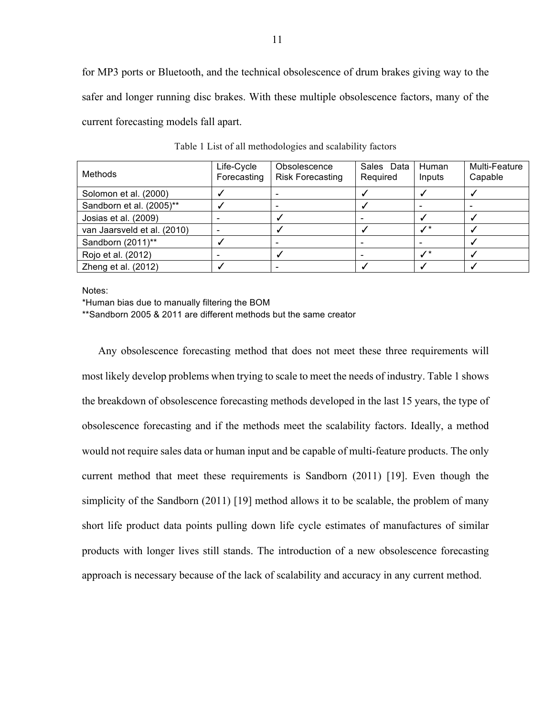for MP3 ports or Bluetooth, and the technical obsolescence of drum brakes giving way to the safer and longer running disc brakes. With these multiple obsolescence factors, many of the current forecasting models fall apart.

| Methods                     | Life-Cycle<br>Forecasting | Obsolescence<br><b>Risk Forecasting</b> | Sales Data<br>Required | Human<br>Inputs | Multi-Feature<br>Capable |
|-----------------------------|---------------------------|-----------------------------------------|------------------------|-----------------|--------------------------|
| Solomon et al. (2000)       |                           |                                         |                        |                 |                          |
| Sandborn et al. (2005)**    |                           |                                         |                        |                 |                          |
| Josias et al. (2009)        |                           |                                         |                        |                 |                          |
| van Jaarsveld et al. (2010) |                           |                                         |                        | $\prime^*$      |                          |
| Sandborn (2011)**           |                           |                                         |                        |                 |                          |
| Rojo et al. (2012)          |                           |                                         |                        | ./*             |                          |
| Zheng et al. (2012)         |                           |                                         |                        |                 |                          |

Table 1 List of all methodologies and scalability factors

Notes:

\*Human bias due to manually filtering the BOM

\*\*Sandborn 2005 & 2011 are different methods but the same creator

Any obsolescence forecasting method that does not meet these three requirements will most likely develop problems when trying to scale to meet the needs of industry. Table 1 shows the breakdown of obsolescence forecasting methods developed in the last 15 years, the type of obsolescence forecasting and if the methods meet the scalability factors. Ideally, a method would not require sales data or human input and be capable of multi-feature products. The only current method that meet these requirements is Sandborn (2011) [19]. Even though the simplicity of the Sandborn (2011) [19] method allows it to be scalable, the problem of many short life product data points pulling down life cycle estimates of manufactures of similar products with longer lives still stands. The introduction of a new obsolescence forecasting approach is necessary because of the lack of scalability and accuracy in any current method.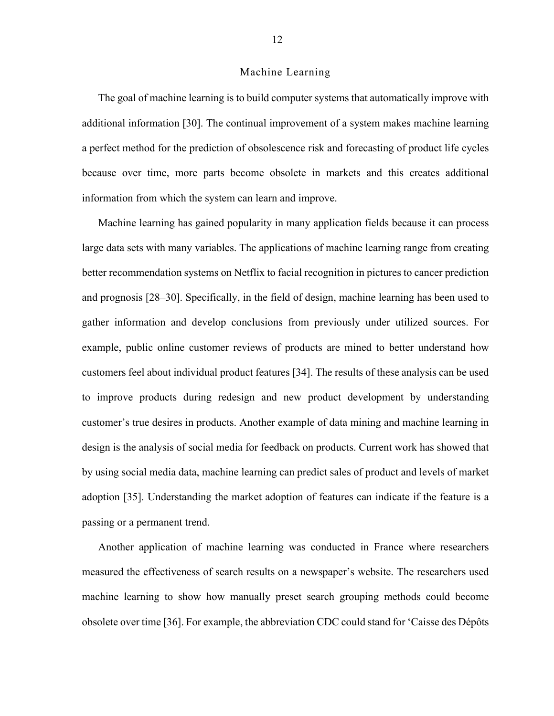## Machine Learning

The goal of machine learning is to build computer systems that automatically improve with additional information [30]. The continual improvement of a system makes machine learning a perfect method for the prediction of obsolescence risk and forecasting of product life cycles because over time, more parts become obsolete in markets and this creates additional information from which the system can learn and improve.

Machine learning has gained popularity in many application fields because it can process large data sets with many variables. The applications of machine learning range from creating better recommendation systems on Netflix to facial recognition in pictures to cancer prediction and prognosis [28–30]. Specifically, in the field of design, machine learning has been used to gather information and develop conclusions from previously under utilized sources. For example, public online customer reviews of products are mined to better understand how customers feel about individual product features [34]. The results of these analysis can be used to improve products during redesign and new product development by understanding customer's true desires in products. Another example of data mining and machine learning in design is the analysis of social media for feedback on products. Current work has showed that by using social media data, machine learning can predict sales of product and levels of market adoption [35]. Understanding the market adoption of features can indicate if the feature is a passing or a permanent trend.

Another application of machine learning was conducted in France where researchers measured the effectiveness of search results on a newspaper's website. The researchers used machine learning to show how manually preset search grouping methods could become obsolete over time [36]. For example, the abbreviation CDC could stand for 'Caisse des Dépôts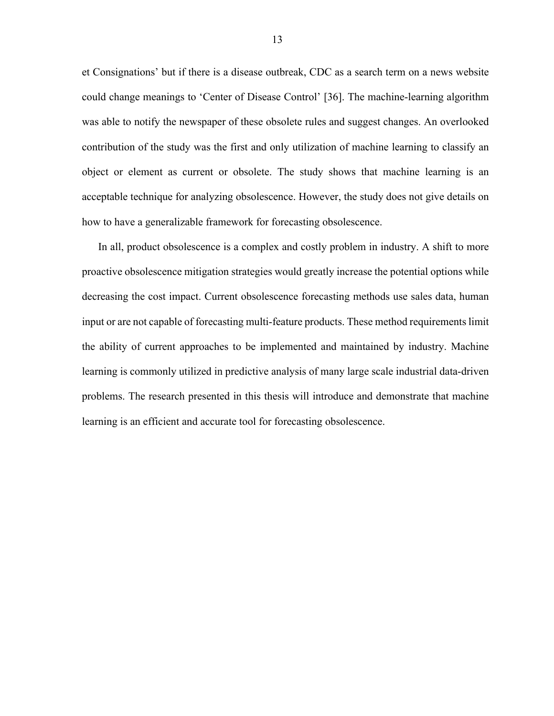et Consignations' but if there is a disease outbreak, CDC as a search term on a news website could change meanings to 'Center of Disease Control' [36]. The machine-learning algorithm was able to notify the newspaper of these obsolete rules and suggest changes. An overlooked contribution of the study was the first and only utilization of machine learning to classify an object or element as current or obsolete. The study shows that machine learning is an acceptable technique for analyzing obsolescence. However, the study does not give details on how to have a generalizable framework for forecasting obsolescence.

In all, product obsolescence is a complex and costly problem in industry. A shift to more proactive obsolescence mitigation strategies would greatly increase the potential options while decreasing the cost impact. Current obsolescence forecasting methods use sales data, human input or are not capable of forecasting multi-feature products. These method requirements limit the ability of current approaches to be implemented and maintained by industry. Machine learning is commonly utilized in predictive analysis of many large scale industrial data-driven problems. The research presented in this thesis will introduce and demonstrate that machine learning is an efficient and accurate tool for forecasting obsolescence.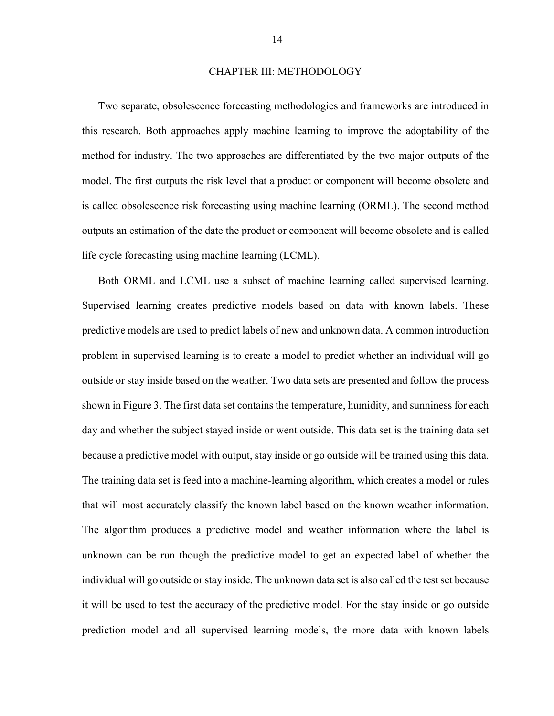### CHAPTER III: METHODOLOGY

Two separate, obsolescence forecasting methodologies and frameworks are introduced in this research. Both approaches apply machine learning to improve the adoptability of the method for industry. The two approaches are differentiated by the two major outputs of the model. The first outputs the risk level that a product or component will become obsolete and is called obsolescence risk forecasting using machine learning (ORML). The second method outputs an estimation of the date the product or component will become obsolete and is called life cycle forecasting using machine learning (LCML).

Both ORML and LCML use a subset of machine learning called supervised learning. Supervised learning creates predictive models based on data with known labels. These predictive models are used to predict labels of new and unknown data. A common introduction problem in supervised learning is to create a model to predict whether an individual will go outside or stay inside based on the weather. Two data sets are presented and follow the process shown in Figure 3. The first data set contains the temperature, humidity, and sunniness for each day and whether the subject stayed inside or went outside. This data set is the training data set because a predictive model with output, stay inside or go outside will be trained using this data. The training data set is feed into a machine-learning algorithm, which creates a model or rules that will most accurately classify the known label based on the known weather information. The algorithm produces a predictive model and weather information where the label is unknown can be run though the predictive model to get an expected label of whether the individual will go outside or stay inside. The unknown data set is also called the test set because it will be used to test the accuracy of the predictive model. For the stay inside or go outside prediction model and all supervised learning models, the more data with known labels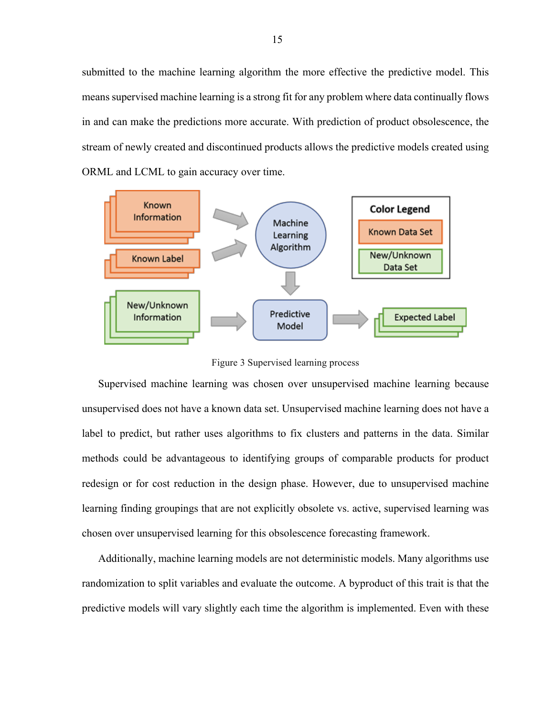submitted to the machine learning algorithm the more effective the predictive model. This means supervised machine learning is a strong fit for any problem where data continually flows in and can make the predictions more accurate. With prediction of product obsolescence, the stream of newly created and discontinued products allows the predictive models created using ORML and LCML to gain accuracy over time.



Figure 3 Supervised learning process

Supervised machine learning was chosen over unsupervised machine learning because unsupervised does not have a known data set. Unsupervised machine learning does not have a label to predict, but rather uses algorithms to fix clusters and patterns in the data. Similar methods could be advantageous to identifying groups of comparable products for product redesign or for cost reduction in the design phase. However, due to unsupervised machine learning finding groupings that are not explicitly obsolete vs. active, supervised learning was chosen over unsupervised learning for this obsolescence forecasting framework.

Additionally, machine learning models are not deterministic models. Many algorithms use randomization to split variables and evaluate the outcome. A byproduct of this trait is that the predictive models will vary slightly each time the algorithm is implemented. Even with these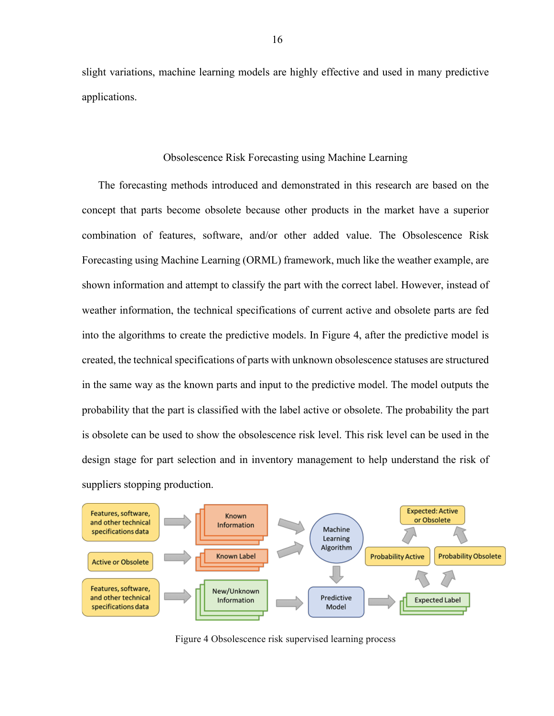slight variations, machine learning models are highly effective and used in many predictive applications.

## Obsolescence Risk Forecasting using Machine Learning

The forecasting methods introduced and demonstrated in this research are based on the concept that parts become obsolete because other products in the market have a superior combination of features, software, and/or other added value. The Obsolescence Risk Forecasting using Machine Learning (ORML) framework, much like the weather example, are shown information and attempt to classify the part with the correct label. However, instead of weather information, the technical specifications of current active and obsolete parts are fed into the algorithms to create the predictive models. In Figure 4, after the predictive model is created, the technical specifications of parts with unknown obsolescence statuses are structured in the same way as the known parts and input to the predictive model. The model outputs the probability that the part is classified with the label active or obsolete. The probability the part is obsolete can be used to show the obsolescence risk level. This risk level can be used in the design stage for part selection and in inventory management to help understand the risk of suppliers stopping production.



Figure 4 Obsolescence risk supervised learning process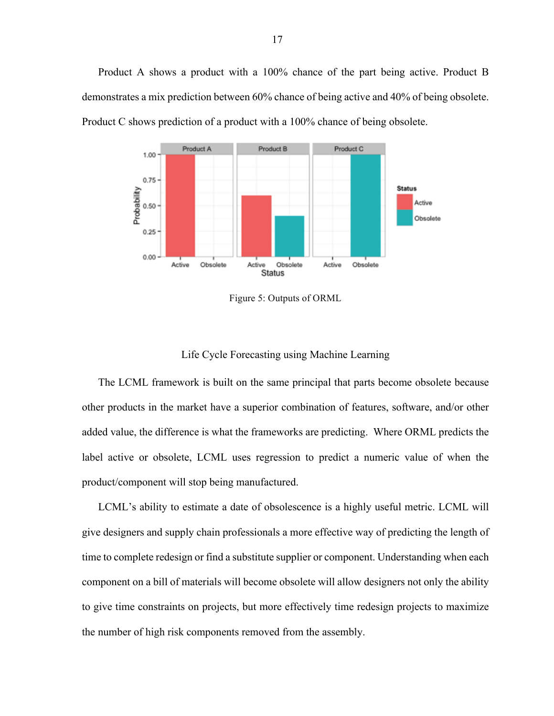Product A shows a product with a 100% chance of the part being active. Product B demonstrates a mix prediction between 60% chance of being active and 40% of being obsolete. Product C shows prediction of a product with a 100% chance of being obsolete.



Figure 5: Outputs of ORML

## Life Cycle Forecasting using Machine Learning

The LCML framework is built on the same principal that parts become obsolete because other products in the market have a superior combination of features, software, and/or other added value, the difference is what the frameworks are predicting. Where ORML predicts the label active or obsolete, LCML uses regression to predict a numeric value of when the product/component will stop being manufactured.

LCML's ability to estimate a date of obsolescence is a highly useful metric. LCML will give designers and supply chain professionals a more effective way of predicting the length of time to complete redesign or find a substitute supplier or component. Understanding when each component on a bill of materials will become obsolete will allow designers not only the ability to give time constraints on projects, but more effectively time redesign projects to maximize the number of high risk components removed from the assembly.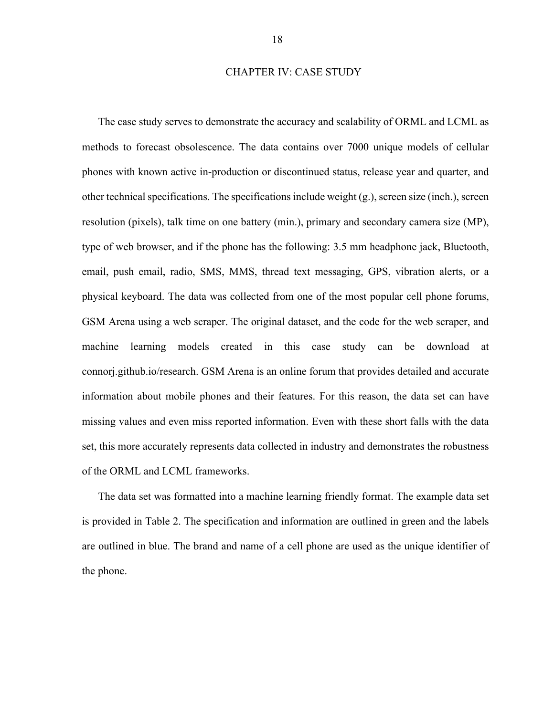## CHAPTER IV: CASE STUDY

The case study serves to demonstrate the accuracy and scalability of ORML and LCML as methods to forecast obsolescence. The data contains over 7000 unique models of cellular phones with known active in-production or discontinued status, release year and quarter, and other technical specifications. The specifications include weight (g.), screen size (inch.), screen resolution (pixels), talk time on one battery (min.), primary and secondary camera size (MP), type of web browser, and if the phone has the following: 3.5 mm headphone jack, Bluetooth, email, push email, radio, SMS, MMS, thread text messaging, GPS, vibration alerts, or a physical keyboard. The data was collected from one of the most popular cell phone forums, GSM Arena using a web scraper. The original dataset, and the code for the web scraper, and machine learning models created in this case study can be download at connorj.github.io/research. GSM Arena is an online forum that provides detailed and accurate information about mobile phones and their features. For this reason, the data set can have missing values and even miss reported information. Even with these short falls with the data set, this more accurately represents data collected in industry and demonstrates the robustness of the ORML and LCML frameworks.

The data set was formatted into a machine learning friendly format. The example data set is provided in Table 2. The specification and information are outlined in green and the labels are outlined in blue. The brand and name of a cell phone are used as the unique identifier of the phone.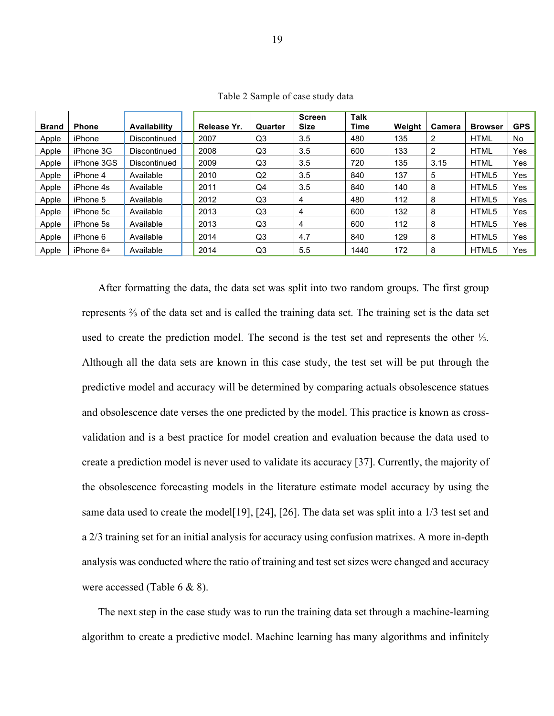| <b>Brand</b> | <b>Phone</b> | <b>Availability</b> | Release Yr. | Quarter        | <b>Screen</b><br><b>Size</b> | Talk<br>Time | Weight | Camera | <b>Browser</b> | <b>GPS</b> |
|--------------|--------------|---------------------|-------------|----------------|------------------------------|--------------|--------|--------|----------------|------------|
| Apple        | iPhone       | Discontinued        | 2007        | Q3             | 3.5                          | 480          | 135    | 2      | <b>HTML</b>    | No         |
| Apple        | iPhone 3G    | Discontinued        | 2008        | Q3             | 3.5                          | 600          | 133    | 2      | <b>HTML</b>    | Yes        |
| Apple        | iPhone 3GS   | Discontinued        | 2009        | Q <sub>3</sub> | 3.5                          | 720          | 135    | 3.15   | <b>HTML</b>    | Yes        |
| Apple        | iPhone 4     | Available           | 2010        | Q2             | 3.5                          | 840          | 137    | 5      | HTML5          | Yes        |
| Apple        | iPhone 4s    | Available           | 2011        | Q4             | 3.5                          | 840          | 140    | 8      | HTML5          | Yes        |
| Apple        | iPhone 5     | Available           | 2012        | Q <sub>3</sub> | 4                            | 480          | 112    | 8      | HTML5          | Yes        |
| Apple        | iPhone 5c    | Available           | 2013        | Q <sub>3</sub> | 4                            | 600          | 132    | 8      | HTML5          | Yes        |
| Apple        | iPhone 5s    | Available           | 2013        | Q <sub>3</sub> | 4                            | 600          | 112    | 8      | HTML5          | Yes        |
| Apple        | iPhone 6     | Available           | 2014        | Q <sub>3</sub> | 4.7                          | 840          | 129    | 8      | HTML5          | Yes        |
| Apple        | iPhone 6+    | Available           | 2014        | Q <sub>3</sub> | 5.5                          | 1440         | 172    | 8      | HTML5          | Yes        |

Table 2 Sample of case study data

After formatting the data, the data set was split into two random groups. The first group represents ⅔ of the data set and is called the training data set. The training set is the data set used to create the prediction model. The second is the test set and represents the other ⅓. Although all the data sets are known in this case study, the test set will be put through the predictive model and accuracy will be determined by comparing actuals obsolescence statues and obsolescence date verses the one predicted by the model. This practice is known as crossvalidation and is a best practice for model creation and evaluation because the data used to create a prediction model is never used to validate its accuracy [37]. Currently, the majority of the obsolescence forecasting models in the literature estimate model accuracy by using the same data used to create the model<sup>[19]</sup>, [24], [26]. The data set was split into a 1/3 test set and a 2/3 training set for an initial analysis for accuracy using confusion matrixes. A more in-depth analysis was conducted where the ratio of training and test set sizes were changed and accuracy were accessed (Table 6 & 8).

The next step in the case study was to run the training data set through a machine-learning algorithm to create a predictive model. Machine learning has many algorithms and infinitely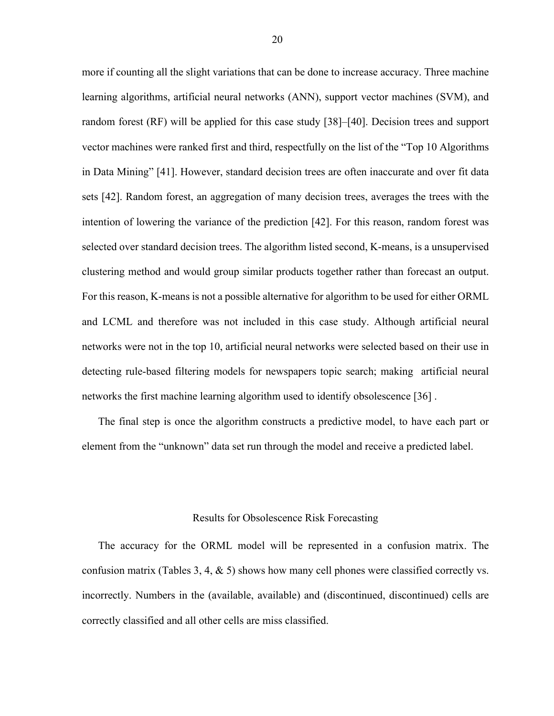more if counting all the slight variations that can be done to increase accuracy. Three machine learning algorithms, artificial neural networks (ANN), support vector machines (SVM), and random forest (RF) will be applied for this case study [38]–[40]. Decision trees and support vector machines were ranked first and third, respectfully on the list of the "Top 10 Algorithms in Data Mining" [41]. However, standard decision trees are often inaccurate and over fit data sets [42]. Random forest, an aggregation of many decision trees, averages the trees with the intention of lowering the variance of the prediction [42]. For this reason, random forest was selected over standard decision trees. The algorithm listed second, K-means, is a unsupervised clustering method and would group similar products together rather than forecast an output. For this reason, K-means is not a possible alternative for algorithm to be used for either ORML and LCML and therefore was not included in this case study. Although artificial neural networks were not in the top 10, artificial neural networks were selected based on their use in detecting rule-based filtering models for newspapers topic search; making artificial neural networks the first machine learning algorithm used to identify obsolescence [36] .

The final step is once the algorithm constructs a predictive model, to have each part or element from the "unknown" data set run through the model and receive a predicted label.

## Results for Obsolescence Risk Forecasting

The accuracy for the ORML model will be represented in a confusion matrix. The confusion matrix (Tables 3, 4,  $\&$  5) shows how many cell phones were classified correctly vs. incorrectly. Numbers in the (available, available) and (discontinued, discontinued) cells are correctly classified and all other cells are miss classified.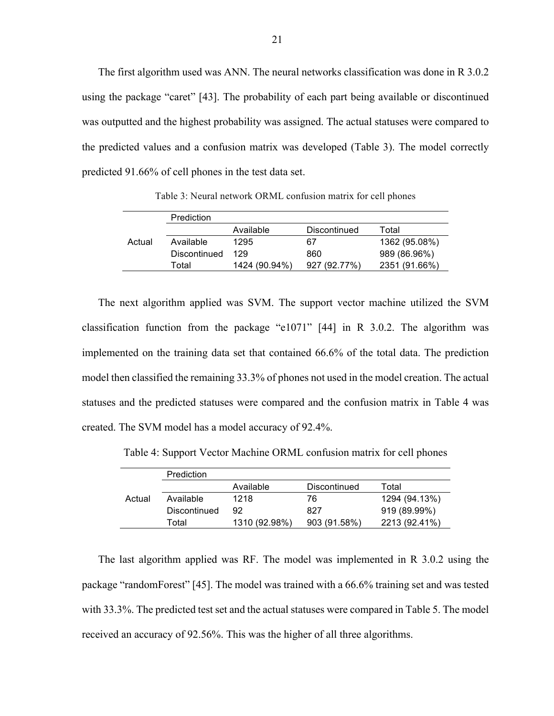The first algorithm used was ANN. The neural networks classification was done in R 3.0.2 using the package "caret" [43]. The probability of each part being available or discontinued was outputted and the highest probability was assigned. The actual statuses were compared to the predicted values and a confusion matrix was developed (Table 3). The model correctly predicted 91.66% of cell phones in the test data set.

|        | Prediction   |               |              |               |
|--------|--------------|---------------|--------------|---------------|
|        |              | Available     | Discontinued | Total         |
| Actual | Available    | 1295          | 67           | 1362 (95.08%) |
|        | Discontinued | 129           | 860          | 989 (86.96%)  |
|        | Total        | 1424 (90.94%) | 927 (92.77%) | 2351 (91.66%) |

Table 3: Neural network ORML confusion matrix for cell phones

The next algorithm applied was SVM. The support vector machine utilized the SVM classification function from the package "e1071" [44] in R 3.0.2. The algorithm was implemented on the training data set that contained 66.6% of the total data. The prediction model then classified the remaining 33.3% of phones not used in the model creation. The actual statuses and the predicted statuses were compared and the confusion matrix in Table 4 was created. The SVM model has a model accuracy of 92.4%.

Table 4: Support Vector Machine ORML confusion matrix for cell phones

|        | Prediction          |               |              |               |
|--------|---------------------|---------------|--------------|---------------|
|        |                     | Available     | Discontinued | Total         |
| Actual | Available           | 1218          | 76           | 1294 (94.13%) |
|        | <b>Discontinued</b> | 92            | 827          | 919 (89.99%)  |
|        | Total               | 1310 (92.98%) | 903 (91.58%) | 2213 (92.41%) |

The last algorithm applied was RF. The model was implemented in R 3.0.2 using the package "randomForest" [45]. The model was trained with a 66.6% training set and was tested with 33.3%. The predicted test set and the actual statuses were compared in Table 5. The model received an accuracy of 92.56%. This was the higher of all three algorithms.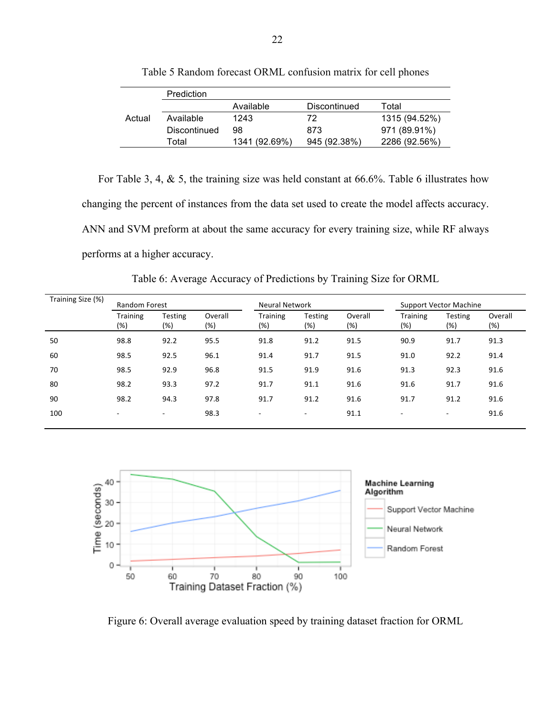|        | Prediction   |               |              |               |
|--------|--------------|---------------|--------------|---------------|
|        |              | Available     | Discontinued | Total         |
| Actual | Available    | 1243          | 72           | 1315 (94.52%) |
|        | Discontinued | 98            | 873          | 971 (89.91%)  |
|        | Total        | 1341 (92.69%) | 945 (92.38%) | 2286 (92.56%) |

Table 5 Random forecast ORML confusion matrix for cell phones

For Table 3, 4, & 5, the training size was held constant at 66.6%. Table 6 illustrates how changing the percent of instances from the data set used to create the model affects accuracy. ANN and SVM preform at about the same accuracy for every training size, while RF always performs at a higher accuracy.

Table 6: Average Accuracy of Predictions by Training Size for ORML

| Training Size (%) | <b>Random Forest</b>   |                          |                   |                          | <b>Neural Network</b> |                |                          | <b>Support Vector Machine</b> |                   |  |
|-------------------|------------------------|--------------------------|-------------------|--------------------------|-----------------------|----------------|--------------------------|-------------------------------|-------------------|--|
|                   | <b>Training</b><br>(%) | <b>Testing</b><br>(%)    | Overall<br>$(\%)$ | <b>Training</b><br>(%)   | Testing<br>(%)        | Overall<br>(%) | <b>Training</b><br>(%)   | <b>Testing</b><br>(%)         | Overall<br>$(\%)$ |  |
| 50                | 98.8                   | 92.2                     | 95.5              | 91.8                     | 91.2                  | 91.5           | 90.9                     | 91.7                          | 91.3              |  |
| 60                | 98.5                   | 92.5                     | 96.1              | 91.4                     | 91.7                  | 91.5           | 91.0                     | 92.2                          | 91.4              |  |
| 70                | 98.5                   | 92.9                     | 96.8              | 91.5                     | 91.9                  | 91.6           | 91.3                     | 92.3                          | 91.6              |  |
| 80                | 98.2                   | 93.3                     | 97.2              | 91.7                     | 91.1                  | 91.6           | 91.6                     | 91.7                          | 91.6              |  |
| 90                | 98.2                   | 94.3                     | 97.8              | 91.7                     | 91.2                  | 91.6           | 91.7                     | 91.2                          | 91.6              |  |
| 100               | ۰                      | $\overline{\phantom{a}}$ | 98.3              | $\overline{\phantom{a}}$ | ۰.                    | 91.1           | $\overline{\phantom{a}}$ | ۰.                            | 91.6              |  |
|                   |                        |                          |                   |                          |                       |                |                          |                               |                   |  |



Figure 6: Overall average evaluation speed by training dataset fraction for ORML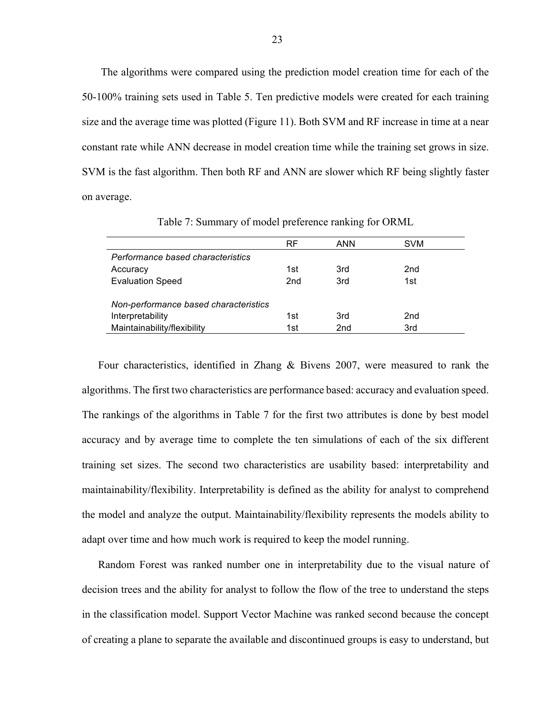The algorithms were compared using the prediction model creation time for each of the 50-100% training sets used in Table 5. Ten predictive models were created for each training size and the average time was plotted (Figure 11). Both SVM and RF increase in time at a near constant rate while ANN decrease in model creation time while the training set grows in size. SVM is the fast algorithm. Then both RF and ANN are slower which RF being slightly faster on average.

|                                       | <b>RF</b>       | ANN | <b>SVM</b>      |
|---------------------------------------|-----------------|-----|-----------------|
| Performance based characteristics     |                 |     |                 |
| Accuracy                              | 1st             | 3rd | 2nd             |
| <b>Evaluation Speed</b>               | 2 <sub>nd</sub> | 3rd | 1st             |
| Non-performance based characteristics |                 |     |                 |
|                                       |                 | 3rd | 2 <sub>nd</sub> |
| Interpretability                      | 1st             |     |                 |
| Maintainability/flexibility           | 1st             | 2nd | 3rd             |

Table 7: Summary of model preference ranking for ORML

Four characteristics, identified in Zhang & Bivens 2007, were measured to rank the algorithms. The first two characteristics are performance based: accuracy and evaluation speed. The rankings of the algorithms in Table 7 for the first two attributes is done by best model accuracy and by average time to complete the ten simulations of each of the six different training set sizes. The second two characteristics are usability based: interpretability and maintainability/flexibility. Interpretability is defined as the ability for analyst to comprehend the model and analyze the output. Maintainability/flexibility represents the models ability to adapt over time and how much work is required to keep the model running.

Random Forest was ranked number one in interpretability due to the visual nature of decision trees and the ability for analyst to follow the flow of the tree to understand the steps in the classification model. Support Vector Machine was ranked second because the concept of creating a plane to separate the available and discontinued groups is easy to understand, but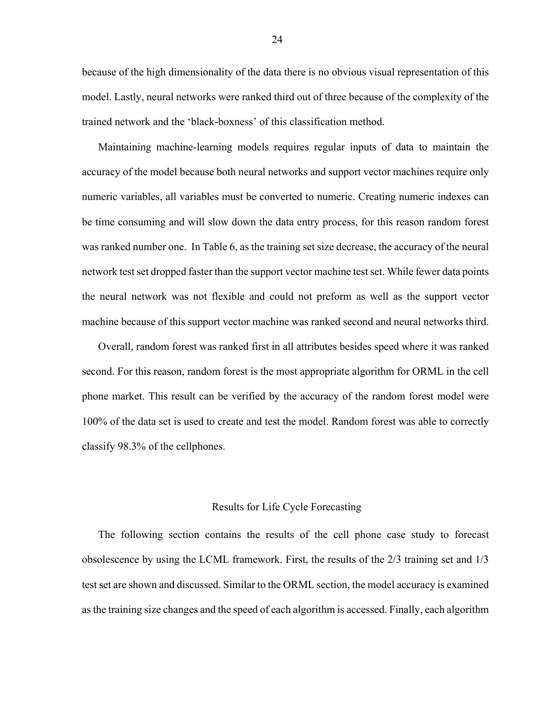because of the high dimensionality of the data there is no obvious visual representation of this model. Lastly, neural networks were ranked third out of three because of the complexity of the trained network and the 'black-boxness' of this classification method.

Maintaining machine-learning models requires regular inputs of data to maintain the accuracy of the model because both neural networks and support vector machines require only numeric variables, all variables must be converted to numeric. Creating numeric indexes can be time consuming and will slow down the data entry process, for this reason random forest was ranked number one. In Table 6, as the training set size decrease, the accuracy of the neural network test set dropped faster than the support vector machine test set. While fewer data points the neural network was not flexible and could not preform as well as the support vector machine because of this support vector machine was ranked second and neural networks third.

Overall, random forest was ranked first in all attributes besides speed where it was ranked second. For this reason, random forest is the most appropriate algorithm for ORML in the cell phone market. This result can be verified by the accuracy of the random forest model were 100% of the data set is used to create and test the model. Random forest was able to correctly classify 98.3% of the cellphones.

## Results for Life Cycle Forecasting

The following section contains the results of the cell phone case study to forecast obsolescence by using the LCML framework. First, the results of the 2/3 training set and 1/3 test set are shown and discussed. Similar to the ORML section, the model accuracy is examined as the training size changes and the speed of each algorithm is accessed. Finally, each algorithm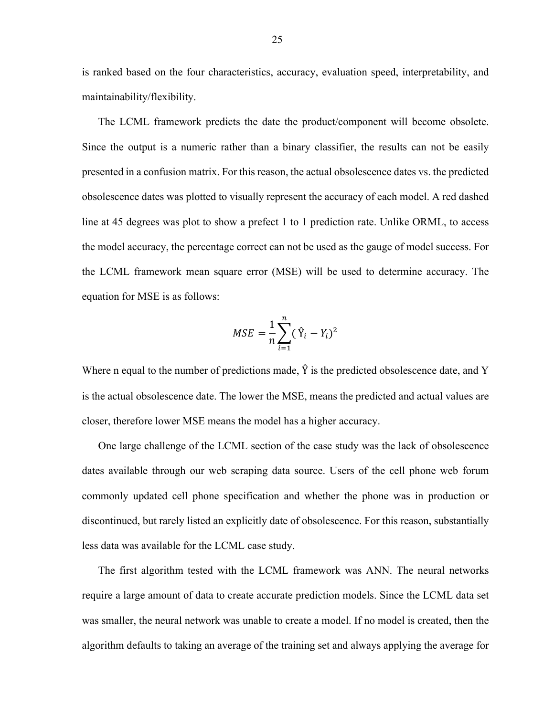is ranked based on the four characteristics, accuracy, evaluation speed, interpretability, and maintainability/flexibility.

The LCML framework predicts the date the product/component will become obsolete. Since the output is a numeric rather than a binary classifier, the results can not be easily presented in a confusion matrix. For this reason, the actual obsolescence dates vs. the predicted obsolescence dates was plotted to visually represent the accuracy of each model. A red dashed line at 45 degrees was plot to show a prefect 1 to 1 prediction rate. Unlike ORML, to access the model accuracy, the percentage correct can not be used as the gauge of model success. For the LCML framework mean square error (MSE) will be used to determine accuracy. The equation for MSE is as follows:

$$
MSE = \frac{1}{n} \sum_{i=1}^{n} (\hat{Y}_i - Y_i)^2
$$

Where n equal to the number of predictions made,  $\hat{Y}$  is the predicted obsolescence date, and Y is the actual obsolescence date. The lower the MSE, means the predicted and actual values are closer, therefore lower MSE means the model has a higher accuracy.

One large challenge of the LCML section of the case study was the lack of obsolescence dates available through our web scraping data source. Users of the cell phone web forum commonly updated cell phone specification and whether the phone was in production or discontinued, but rarely listed an explicitly date of obsolescence. For this reason, substantially less data was available for the LCML case study.

The first algorithm tested with the LCML framework was ANN. The neural networks require a large amount of data to create accurate prediction models. Since the LCML data set was smaller, the neural network was unable to create a model. If no model is created, then the algorithm defaults to taking an average of the training set and always applying the average for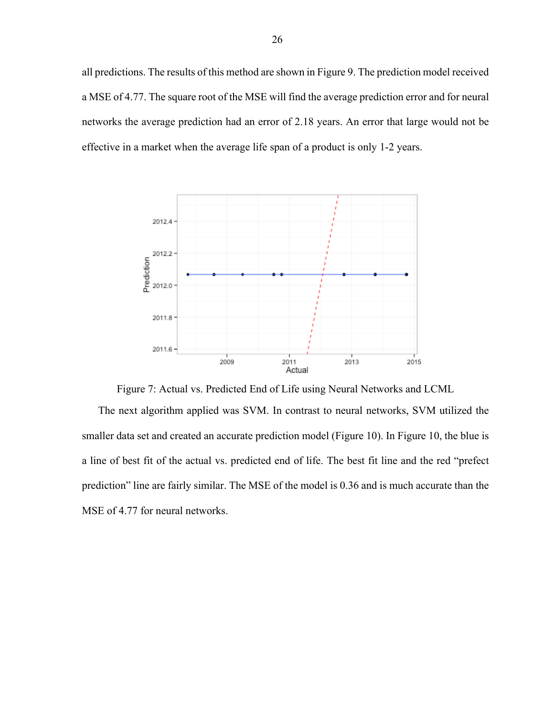all predictions. The results of this method are shown in Figure 9. The prediction model received a MSE of 4.77. The square root of the MSE will find the average prediction error and for neural networks the average prediction had an error of 2.18 years. An error that large would not be effective in a market when the average life span of a product is only 1-2 years.



Figure 7: Actual vs. Predicted End of Life using Neural Networks and LCML

The next algorithm applied was SVM. In contrast to neural networks, SVM utilized the smaller data set and created an accurate prediction model (Figure 10). In Figure 10, the blue is a line of best fit of the actual vs. predicted end of life. The best fit line and the red "prefect prediction" line are fairly similar. The MSE of the model is 0.36 and is much accurate than the MSE of 4.77 for neural networks.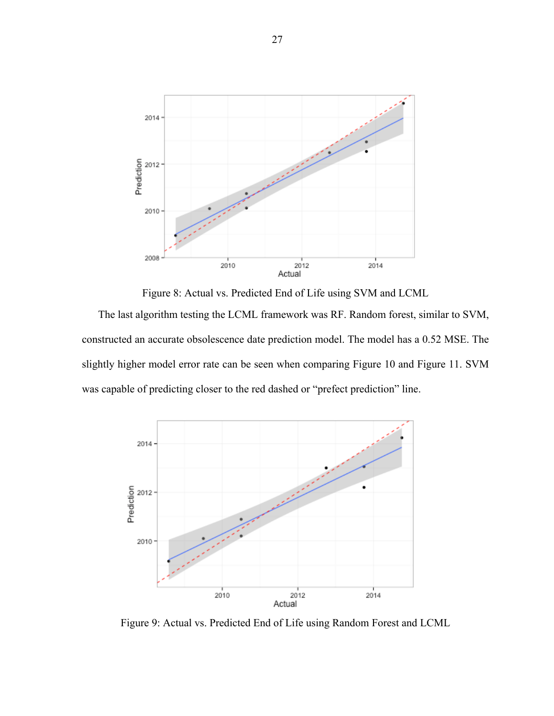

Figure 8: Actual vs. Predicted End of Life using SVM and LCML

The last algorithm testing the LCML framework was RF. Random forest, similar to SVM, constructed an accurate obsolescence date prediction model. The model has a 0.52 MSE. The slightly higher model error rate can be seen when comparing Figure 10 and Figure 11. SVM was capable of predicting closer to the red dashed or "prefect prediction" line.



Figure 9: Actual vs. Predicted End of Life using Random Forest and LCML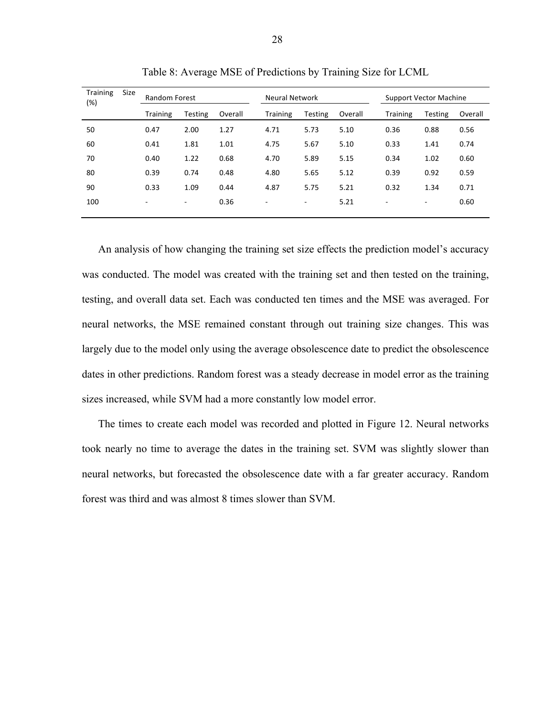| <b>Training</b><br>Size<br>(%) | <b>Random Forest</b>     |                          | <b>Neural Network</b> |                          |         | <b>Support Vector Machine</b> |                          |                          |         |
|--------------------------------|--------------------------|--------------------------|-----------------------|--------------------------|---------|-------------------------------|--------------------------|--------------------------|---------|
|                                | <b>Training</b>          | Testing                  | Overall               | <b>Training</b>          | Testing | Overall                       | Training                 | Testing                  | Overall |
| 50                             | 0.47                     | 2.00                     | 1.27                  | 4.71                     | 5.73    | 5.10                          | 0.36                     | 0.88                     | 0.56    |
| 60                             | 0.41                     | 1.81                     | 1.01                  | 4.75                     | 5.67    | 5.10                          | 0.33                     | 1.41                     | 0.74    |
| 70                             | 0.40                     | 1.22                     | 0.68                  | 4.70                     | 5.89    | 5.15                          | 0.34                     | 1.02                     | 0.60    |
| 80                             | 0.39                     | 0.74                     | 0.48                  | 4.80                     | 5.65    | 5.12                          | 0.39                     | 0.92                     | 0.59    |
| 90                             | 0.33                     | 1.09                     | 0.44                  | 4.87                     | 5.75    | 5.21                          | 0.32                     | 1.34                     | 0.71    |
| 100                            | $\overline{\phantom{a}}$ | $\overline{\phantom{a}}$ | 0.36                  | $\overline{\phantom{a}}$ | ۰       | 5.21                          | $\overline{\phantom{a}}$ | $\overline{\phantom{a}}$ | 0.60    |

Table 8: Average MSE of Predictions by Training Size for LCML

An analysis of how changing the training set size effects the prediction model's accuracy was conducted. The model was created with the training set and then tested on the training, testing, and overall data set. Each was conducted ten times and the MSE was averaged. For neural networks, the MSE remained constant through out training size changes. This was largely due to the model only using the average obsolescence date to predict the obsolescence dates in other predictions. Random forest was a steady decrease in model error as the training sizes increased, while SVM had a more constantly low model error.

The times to create each model was recorded and plotted in Figure 12. Neural networks took nearly no time to average the dates in the training set. SVM was slightly slower than neural networks, but forecasted the obsolescence date with a far greater accuracy. Random forest was third and was almost 8 times slower than SVM.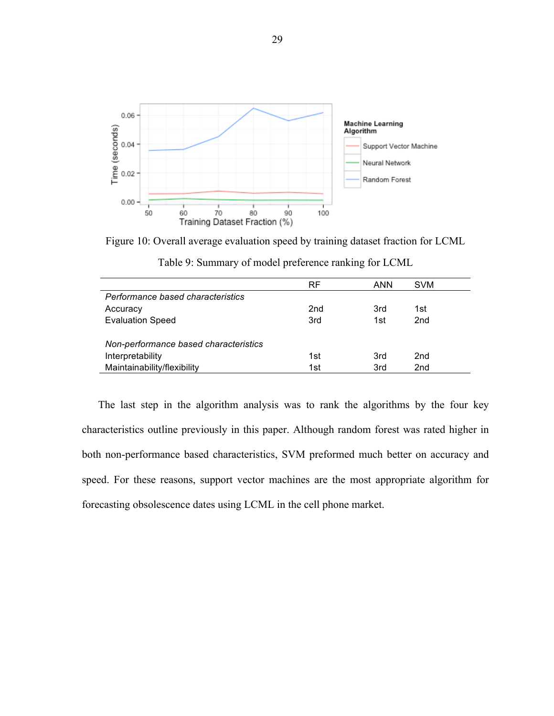

Figure 10: Overall average evaluation speed by training dataset fraction for LCML Table 9: Summary of model preference ranking for LCML

|                                       | RF              | ANN | <b>SVM</b>      |  |  |  |
|---------------------------------------|-----------------|-----|-----------------|--|--|--|
| Performance based characteristics     |                 |     |                 |  |  |  |
| Accuracy                              | 2 <sub>nd</sub> | 3rd | 1st             |  |  |  |
| <b>Evaluation Speed</b>               | 3rd             | 1st | 2 <sub>nd</sub> |  |  |  |
|                                       |                 |     |                 |  |  |  |
| Non-performance based characteristics |                 |     |                 |  |  |  |
| Interpretability                      | 1st             | 3rd | 2nd             |  |  |  |
| Maintainability/flexibility           | 1st             | 3rd | 2 <sub>nd</sub> |  |  |  |

The last step in the algorithm analysis was to rank the algorithms by the four key characteristics outline previously in this paper. Although random forest was rated higher in both non-performance based characteristics, SVM preformed much better on accuracy and speed. For these reasons, support vector machines are the most appropriate algorithm for forecasting obsolescence dates using LCML in the cell phone market.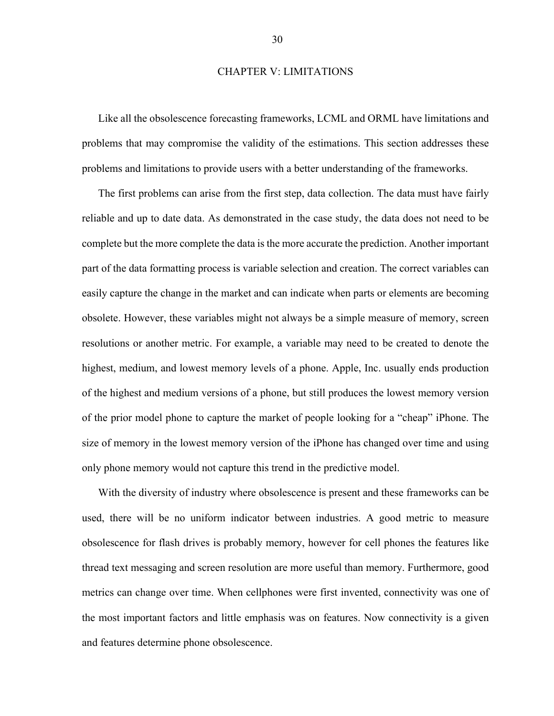## CHAPTER V: LIMITATIONS

Like all the obsolescence forecasting frameworks, LCML and ORML have limitations and problems that may compromise the validity of the estimations. This section addresses these problems and limitations to provide users with a better understanding of the frameworks.

The first problems can arise from the first step, data collection. The data must have fairly reliable and up to date data. As demonstrated in the case study, the data does not need to be complete but the more complete the data is the more accurate the prediction. Another important part of the data formatting process is variable selection and creation. The correct variables can easily capture the change in the market and can indicate when parts or elements are becoming obsolete. However, these variables might not always be a simple measure of memory, screen resolutions or another metric. For example, a variable may need to be created to denote the highest, medium, and lowest memory levels of a phone. Apple, Inc. usually ends production of the highest and medium versions of a phone, but still produces the lowest memory version of the prior model phone to capture the market of people looking for a "cheap" iPhone. The size of memory in the lowest memory version of the iPhone has changed over time and using only phone memory would not capture this trend in the predictive model.

With the diversity of industry where obsolescence is present and these frameworks can be used, there will be no uniform indicator between industries. A good metric to measure obsolescence for flash drives is probably memory, however for cell phones the features like thread text messaging and screen resolution are more useful than memory. Furthermore, good metrics can change over time. When cellphones were first invented, connectivity was one of the most important factors and little emphasis was on features. Now connectivity is a given and features determine phone obsolescence.

30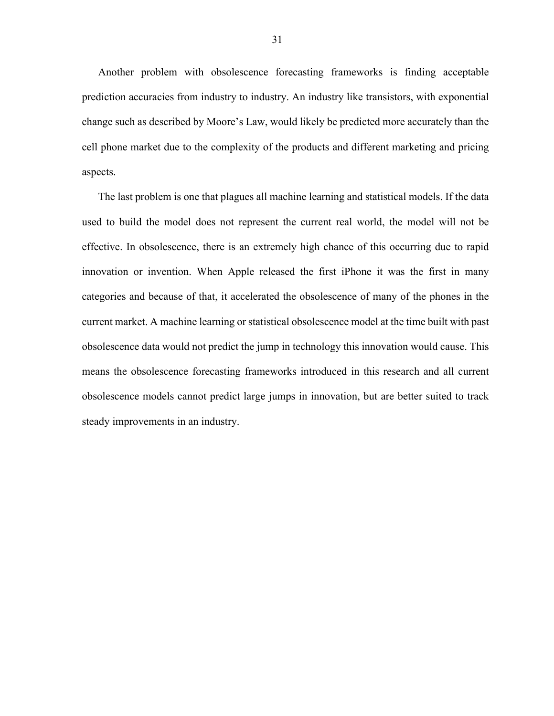Another problem with obsolescence forecasting frameworks is finding acceptable prediction accuracies from industry to industry. An industry like transistors, with exponential change such as described by Moore's Law, would likely be predicted more accurately than the cell phone market due to the complexity of the products and different marketing and pricing aspects.

The last problem is one that plagues all machine learning and statistical models. If the data used to build the model does not represent the current real world, the model will not be effective. In obsolescence, there is an extremely high chance of this occurring due to rapid innovation or invention. When Apple released the first iPhone it was the first in many categories and because of that, it accelerated the obsolescence of many of the phones in the current market. A machine learning or statistical obsolescence model at the time built with past obsolescence data would not predict the jump in technology this innovation would cause. This means the obsolescence forecasting frameworks introduced in this research and all current obsolescence models cannot predict large jumps in innovation, but are better suited to track steady improvements in an industry.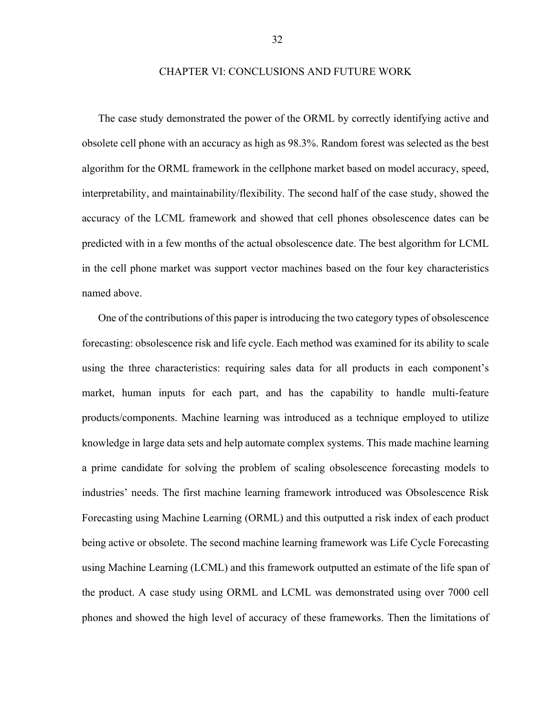## CHAPTER VI: CONCLUSIONS AND FUTURE WORK

The case study demonstrated the power of the ORML by correctly identifying active and obsolete cell phone with an accuracy as high as 98.3%. Random forest was selected as the best algorithm for the ORML framework in the cellphone market based on model accuracy, speed, interpretability, and maintainability/flexibility. The second half of the case study, showed the accuracy of the LCML framework and showed that cell phones obsolescence dates can be predicted with in a few months of the actual obsolescence date. The best algorithm for LCML in the cell phone market was support vector machines based on the four key characteristics named above.

One of the contributions of this paper is introducing the two category types of obsolescence forecasting: obsolescence risk and life cycle. Each method was examined for its ability to scale using the three characteristics: requiring sales data for all products in each component's market, human inputs for each part, and has the capability to handle multi-feature products/components. Machine learning was introduced as a technique employed to utilize knowledge in large data sets and help automate complex systems. This made machine learning a prime candidate for solving the problem of scaling obsolescence forecasting models to industries' needs. The first machine learning framework introduced was Obsolescence Risk Forecasting using Machine Learning (ORML) and this outputted a risk index of each product being active or obsolete. The second machine learning framework was Life Cycle Forecasting using Machine Learning (LCML) and this framework outputted an estimate of the life span of the product. A case study using ORML and LCML was demonstrated using over 7000 cell phones and showed the high level of accuracy of these frameworks. Then the limitations of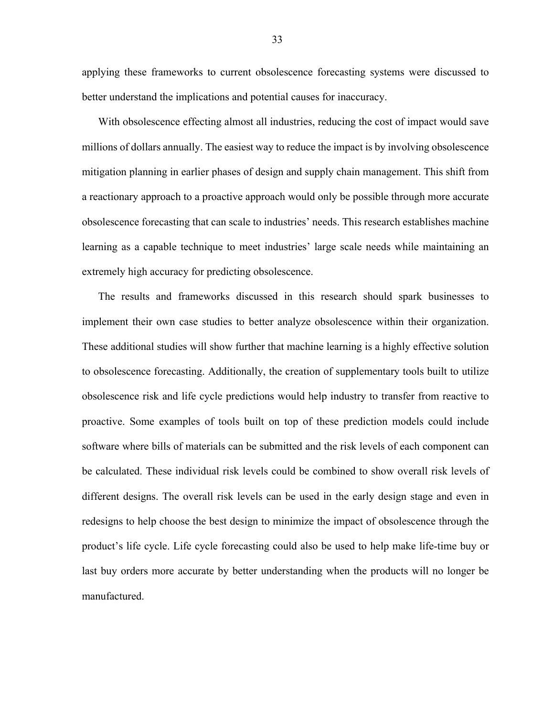applying these frameworks to current obsolescence forecasting systems were discussed to better understand the implications and potential causes for inaccuracy.

With obsolescence effecting almost all industries, reducing the cost of impact would save millions of dollars annually. The easiest way to reduce the impact is by involving obsolescence mitigation planning in earlier phases of design and supply chain management. This shift from a reactionary approach to a proactive approach would only be possible through more accurate obsolescence forecasting that can scale to industries' needs. This research establishes machine learning as a capable technique to meet industries' large scale needs while maintaining an extremely high accuracy for predicting obsolescence.

The results and frameworks discussed in this research should spark businesses to implement their own case studies to better analyze obsolescence within their organization. These additional studies will show further that machine learning is a highly effective solution to obsolescence forecasting. Additionally, the creation of supplementary tools built to utilize obsolescence risk and life cycle predictions would help industry to transfer from reactive to proactive. Some examples of tools built on top of these prediction models could include software where bills of materials can be submitted and the risk levels of each component can be calculated. These individual risk levels could be combined to show overall risk levels of different designs. The overall risk levels can be used in the early design stage and even in redesigns to help choose the best design to minimize the impact of obsolescence through the product's life cycle. Life cycle forecasting could also be used to help make life-time buy or last buy orders more accurate by better understanding when the products will no longer be manufactured.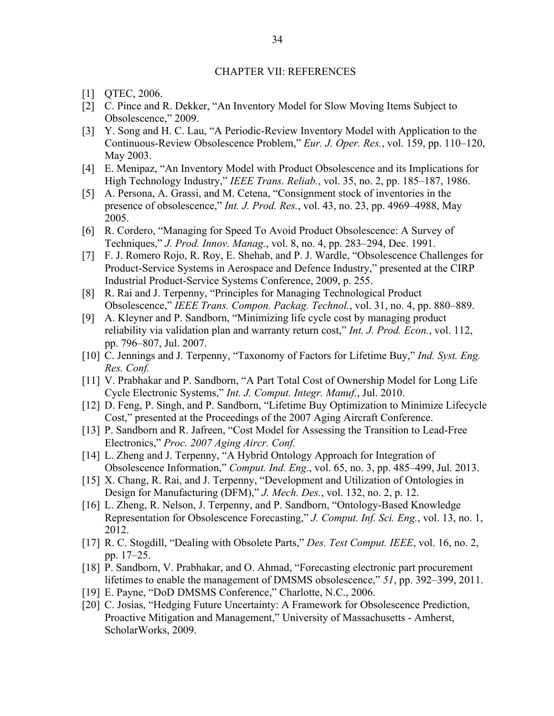## CHAPTER VII: REFERENCES

- [1] QTEC, 2006.
- [2] C. Pince and R. Dekker, "An Inventory Model for Slow Moving Items Subject to Obsolescence," 2009.
- [3] Y. Song and H. C. Lau, "A Periodic-Review Inventory Model with Application to the Continuous-Review Obsolescence Problem," *Eur. J. Oper. Res.*, vol. 159, pp. 110–120, May 2003.
- [4] E. Menipaz, "An Inventory Model with Product Obsolescence and its Implications for High Technology Industry," *IEEE Trans. Reliab.*, vol. 35, no. 2, pp. 185–187, 1986.
- [5] A. Persona, A. Grassi, and M. Cetena, "Consignment stock of inventories in the presence of obsolescence," *Int. J. Prod. Res.*, vol. 43, no. 23, pp. 4969–4988, May 2005.
- [6] R. Cordero, "Managing for Speed To Avoid Product Obsolescence: A Survey of Techniques," *J. Prod. Innov. Manag.*, vol. 8, no. 4, pp. 283–294, Dec. 1991.
- [7] F. J. Romero Rojo, R. Roy, E. Shehab, and P. J. Wardle, "Obsolescence Challenges for Product-Service Systems in Aerospace and Defence Industry," presented at the CIRP Industrial Product-Service Systems Conference, 2009, p. 255.
- [8] R. Rai and J. Terpenny, "Principles for Managing Technological Product Obsolescence," *IEEE Trans. Compon. Packag. Technol.*, vol. 31, no. 4, pp. 880–889.
- [9] A. Kleyner and P. Sandborn, "Minimizing life cycle cost by managing product reliability via validation plan and warranty return cost," *Int. J. Prod. Econ.*, vol. 112, pp. 796–807, Jul. 2007.
- [10] C. Jennings and J. Terpenny, "Taxonomy of Factors for Lifetime Buy," *Ind. Syst. Eng. Res. Conf.*
- [11] V. Prabhakar and P. Sandborn, "A Part Total Cost of Ownership Model for Long Life Cycle Electronic Systems," *Int. J. Comput. Integr. Manuf.*, Jul. 2010.
- [12] D. Feng, P. Singh, and P. Sandborn, "Lifetime Buy Optimization to Minimize Lifecycle Cost," presented at the Proceedings of the 2007 Aging Aircraft Conference.
- [13] P. Sandborn and R. Jafreen, "Cost Model for Assessing the Transition to Lead-Free Electronics," *Proc. 2007 Aging Aircr. Conf.*
- [14] L. Zheng and J. Terpenny, "A Hybrid Ontology Approach for Integration of Obsolescence Information," *Comput. Ind. Eng.*, vol. 65, no. 3, pp. 485–499, Jul. 2013.
- [15] X. Chang, R. Rai, and J. Terpenny, "Development and Utilization of Ontologies in Design for Manufacturing (DFM)," *J. Mech. Des.*, vol. 132, no. 2, p. 12.
- [16] L. Zheng, R. Nelson, J. Terpenny, and P. Sandborn, "Ontology-Based Knowledge Representation for Obsolescence Forecasting," *J. Comput. Inf. Sci. Eng.*, vol. 13, no. 1, 2012.
- [17] R. C. Stogdill, "Dealing with Obsolete Parts," *Des. Test Comput. IEEE*, vol. 16, no. 2, pp. 17–25.
- [18] P. Sandborn, V. Prabhakar, and O. Ahmad, "Forecasting electronic part procurement lifetimes to enable the management of DMSMS obsolescence," *51*, pp. 392–399, 2011.
- [19] E. Payne, "DoD DMSMS Conference," Charlotte, N.C., 2006.
- [20] C. Josias, "Hedging Future Uncertainty: A Framework for Obsolescence Prediction, Proactive Mitigation and Management," University of Massachusetts - Amherst, ScholarWorks, 2009.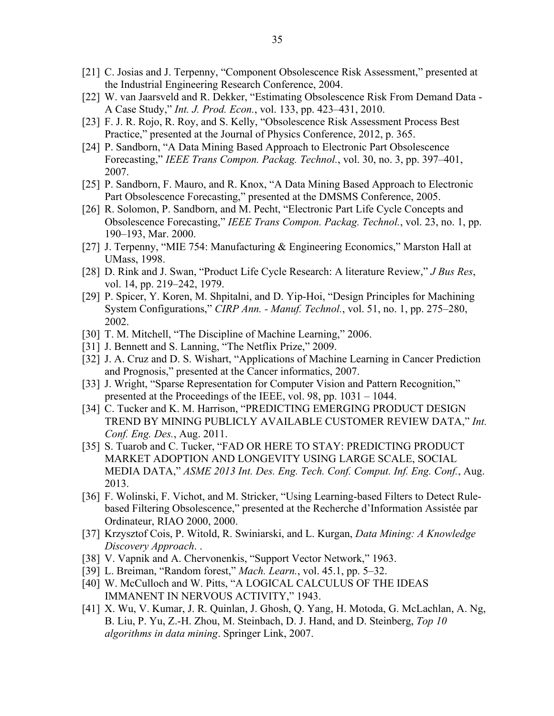- [21] C. Josias and J. Terpenny, "Component Obsolescence Risk Assessment," presented at the Industrial Engineering Research Conference, 2004.
- [22] W. van Jaarsveld and R. Dekker, "Estimating Obsolescence Risk From Demand Data A Case Study," *Int. J. Prod. Econ.*, vol. 133, pp. 423–431, 2010.
- [23] F. J. R. Rojo, R. Roy, and S. Kelly, "Obsolescence Risk Assessment Process Best Practice," presented at the Journal of Physics Conference, 2012, p. 365.
- [24] P. Sandborn, "A Data Mining Based Approach to Electronic Part Obsolescence Forecasting," *IEEE Trans Compon. Packag. Technol.*, vol. 30, no. 3, pp. 397–401, 2007.
- [25] P. Sandborn, F. Mauro, and R. Knox, "A Data Mining Based Approach to Electronic Part Obsolescence Forecasting," presented at the DMSMS Conference, 2005.
- [26] R. Solomon, P. Sandborn, and M. Pecht, "Electronic Part Life Cycle Concepts and Obsolescence Forecasting," *IEEE Trans Compon. Packag. Technol.*, vol. 23, no. 1, pp. 190–193, Mar. 2000.
- [27] J. Terpenny, "MIE 754: Manufacturing & Engineering Economics," Marston Hall at UMass, 1998.
- [28] D. Rink and J. Swan, "Product Life Cycle Research: A literature Review," *J Bus Res*, vol. 14, pp. 219–242, 1979.
- [29] P. Spicer, Y. Koren, M. Shpitalni, and D. Yip-Hoi, "Design Principles for Machining System Configurations," *CIRP Ann. - Manuf. Technol.*, vol. 51, no. 1, pp. 275–280, 2002.
- [30] T. M. Mitchell, "The Discipline of Machine Learning," 2006.
- [31] J. Bennett and S. Lanning, "The Netflix Prize," 2009.
- [32] J. A. Cruz and D. S. Wishart, "Applications of Machine Learning in Cancer Prediction and Prognosis," presented at the Cancer informatics, 2007.
- [33] J. Wright, "Sparse Representation for Computer Vision and Pattern Recognition," presented at the Proceedings of the IEEE, vol. 98, pp. 1031 – 1044.
- [34] C. Tucker and K. M. Harrison, "PREDICTING EMERGING PRODUCT DESIGN TREND BY MINING PUBLICLY AVAILABLE CUSTOMER REVIEW DATA," *Int. Conf. Eng. Des.*, Aug. 2011.
- [35] S. Tuarob and C. Tucker, "FAD OR HERE TO STAY: PREDICTING PRODUCT MARKET ADOPTION AND LONGEVITY USING LARGE SCALE, SOCIAL MEDIA DATA," *ASME 2013 Int. Des. Eng. Tech. Conf. Comput. Inf. Eng. Conf.*, Aug. 2013.
- [36] F. Wolinski, F. Vichot, and M. Stricker, "Using Learning-based Filters to Detect Rulebased Filtering Obsolescence," presented at the Recherche d'Information Assistée par Ordinateur, RIAO 2000, 2000.
- [37] Krzysztof Cois, P. Witold, R. Swiniarski, and L. Kurgan, *Data Mining: A Knowledge Discovery Approach*. .
- [38] V. Vapnik and A. Chervonenkis, "Support Vector Network," 1963.
- [39] L. Breiman, "Random forest," *Mach. Learn.*, vol. 45.1, pp. 5–32.
- [40] W. McCulloch and W. Pitts, "A LOGICAL CALCULUS OF THE IDEAS IMMANENT IN NERVOUS ACTIVITY," 1943.
- [41] X. Wu, V. Kumar, J. R. Quinlan, J. Ghosh, Q. Yang, H. Motoda, G. McLachlan, A. Ng, B. Liu, P. Yu, Z.-H. Zhou, M. Steinbach, D. J. Hand, and D. Steinberg, *Top 10 algorithms in data mining*. Springer Link, 2007.